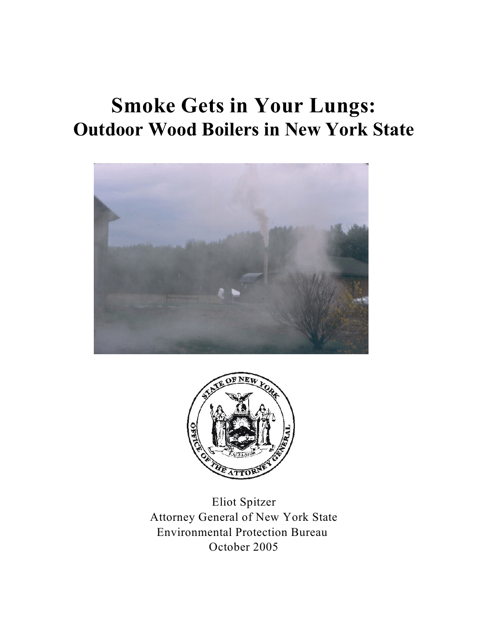# **Smoke Gets in Your Lungs: Outdoor Wood Boilers in New York State**





Eliot Spitzer Attorney General of New York State Environmental Protection Bureau October 2005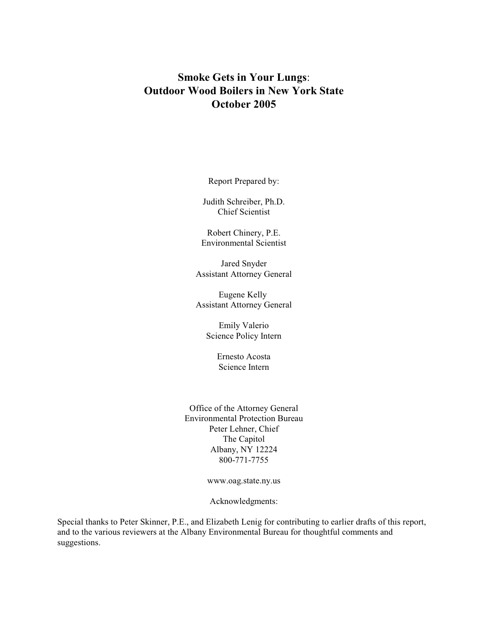# **Smoke Gets in Your Lungs**: **Outdoor Wood Boilers in New York State October 2005**

Report Prepared by:

Judith Schreiber, Ph.D. Chief Scientist

Robert Chinery, P.E. Environmental Scientist

Jared Snyder Assistant Attorney General

Eugene Kelly Assistant Attorney General

> Emily Valerio Science Policy Intern

> > Ernesto Acosta Science Intern

Office of the Attorney General Environmental Protection Bureau Peter Lehner, Chief The Capitol Albany, NY 12224 800-771-7755

www.oag.state.ny.us

Acknowledgments:

Special thanks to Peter Skinner, P.E., and Elizabeth Lenig for contributing to earlier drafts of this report, and to the various reviewers at the Albany Environmental Bureau for thoughtful comments and suggestions.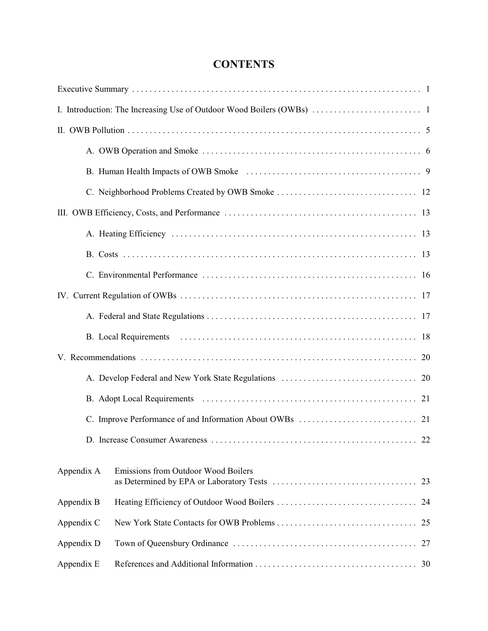# **CONTENTS**

|            | 22<br>D. Increase Consumer Awareness      |
|------------|-------------------------------------------|
| Appendix A | Emissions from Outdoor Wood Boilers<br>23 |
| Appendix B | 24                                        |
| Appendix C | 25                                        |
| Appendix D | 27                                        |
| Appendix E | 30                                        |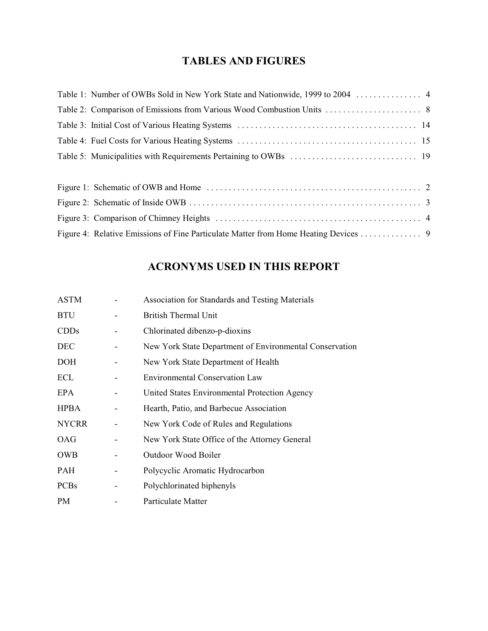# **TABLES AND FIGURES**

# **ACRONYMS USED IN THIS REPORT**

| <b>ASTM</b>  | <b>Association for Standards and Testing Materials</b>  |
|--------------|---------------------------------------------------------|
| <b>BTU</b>   | <b>British Thermal Unit</b>                             |
| CDDs         | Chlorinated dibenzo-p-dioxins                           |
| DEC          | New York State Department of Environmental Conservation |
| DOH          | New York State Department of Health                     |
| ECL          | <b>Environmental Conservation Law</b>                   |
| <b>EPA</b>   | United States Environmental Protection Agency           |
| <b>HPBA</b>  | Hearth, Patio, and Barbecue Association                 |
| <b>NYCRR</b> | New York Code of Rules and Regulations                  |
| <b>OAG</b>   | New York State Office of the Attorney General           |
| <b>OWB</b>   | Outdoor Wood Boiler                                     |
| PAH          | Polycyclic Aromatic Hydrocarbon                         |
| <b>PCBs</b>  | Polychlorinated biphenyls                               |
| PM           | Particulate Matter                                      |
|              |                                                         |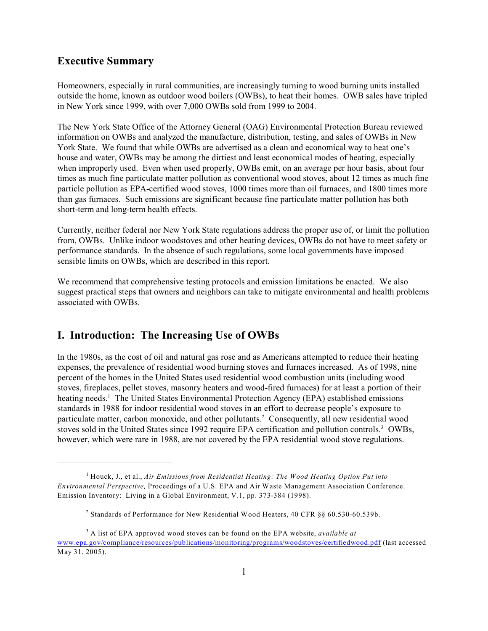#### **Executive Summary**

Homeowners, especially in rural communities, are increasingly turning to wood burning units installed outside the home, known as outdoor wood boilers (OWBs), to heat their homes. OWB sales have tripled in New York since 1999, with over 7,000 OWBs sold from 1999 to 2004.

The New York State Office of the Attorney General (OAG) Environmental Protection Bureau reviewed information on OWBs and analyzed the manufacture, distribution, testing, and sales of OWBs in New York State. We found that while OWBs are advertised as a clean and economical way to heat one's house and water, OWBs may be among the dirtiest and least economical modes of heating, especially when improperly used. Even when used properly, OWBs emit, on an average per hour basis, about four times as much fine particulate matter pollution as conventional wood stoves, about 12 times as much fine particle pollution as EPA-certified wood stoves, 1000 times more than oil furnaces, and 1800 times more than gas furnaces. Such emissions are significant because fine particulate matter pollution has both short-term and long-term health effects.

Currently, neither federal nor New York State regulations address the proper use of, or limit the pollution from, OWBs. Unlike indoor woodstoves and other heating devices, OWBs do not have to meet safety or performance standards. In the absence of such regulations, some local governments have imposed sensible limits on OWBs, which are described in this report.

We recommend that comprehensive testing protocols and emission limitations be enacted. We also suggest practical steps that owners and neighbors can take to mitigate environmental and health problems associated with OWBs.

## **I. Introduction: The Increasing Use of OWBs**

In the 1980s, as the cost of oil and natural gas rose and as Americans attempted to reduce their heating expenses, the prevalence of residential wood burning stoves and furnaces increased. As of 1998, nine percent of the homes in the United States used residential wood combustion units (including wood stoves, fireplaces, pellet stoves, masonry heaters and wood-fired furnaces) for at least a portion of their heating needs.<sup>1</sup> The United States Environmental Protection Agency (EPA) established emissions standards in 1988 for indoor residential wood stoves in an effort to decrease people's exposure to particulate matter, carbon monoxide, and other pollutants.<sup>2</sup> Consequently, all new residential wood stoves sold in the United States since 1992 require EPA certification and pollution controls.<sup>3</sup> OWBs, however, which were rare in 1988, are not covered by the EPA residential wood stove regulations.

<sup>&</sup>lt;sup>1</sup> Houck, J., et al., *Air Emissions from Residential Heating: The Wood Heating Option Put into Environmental Perspective,* Proceedings of a U.S. EPA and Air Waste Management Association Conference. Emission Inventory: Living in a Global Environment, V.1, pp. 373-384 (1998).

<sup>&</sup>lt;sup>2</sup> Standards of Performance for New Residential Wood Heaters, 40 CFR  $\S\S 60.530$ -60.539b.

A list of EPA approved wood stoves can be found on the EPA website, *available at* <sup>3</sup> [www.epa.gov/compliance/resources/publications/monitoring/programs/woodstoves/certifiedwood.pdf](http://www.epa.gov/compliance/resources/publications/monitoring/programs/woodstoves/certifiedwood.pdf) (last accessed May 31, 2005).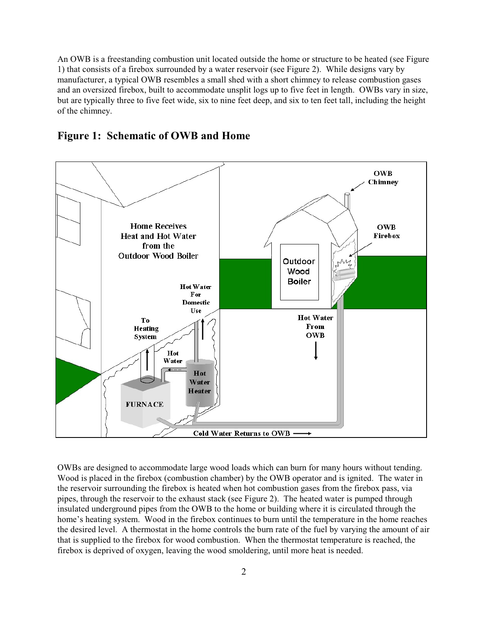An OWB is a freestanding combustion unit located outside the home or structure to be heated (see Figure 1) that consists of a firebox surrounded by a water reservoir (see Figure 2). While designs vary by manufacturer, a typical OWB resembles a small shed with a short chimney to release combustion gases and an oversized firebox, built to accommodate unsplit logs up to five feet in length. OWBs vary in size, but are typically three to five feet wide, six to nine feet deep, and six to ten feet tall, including the height of the chimney.





OWBs are designed to accommodate large wood loads which can burn for many hours without tending. Wood is placed in the firebox (combustion chamber) by the OWB operator and is ignited. The water in the reservoir surrounding the firebox is heated when hot combustion gases from the firebox pass, via pipes, through the reservoir to the exhaust stack (see Figure 2). The heated water is pumped through insulated underground pipes from the OWB to the home or building where it is circulated through the home's heating system. Wood in the firebox continues to burn until the temperature in the home reaches the desired level. A thermostat in the home controls the burn rate of the fuel by varying the amount of air that is supplied to the firebox for wood combustion. When the thermostat temperature is reached, the firebox is deprived of oxygen, leaving the wood smoldering, until more heat is needed.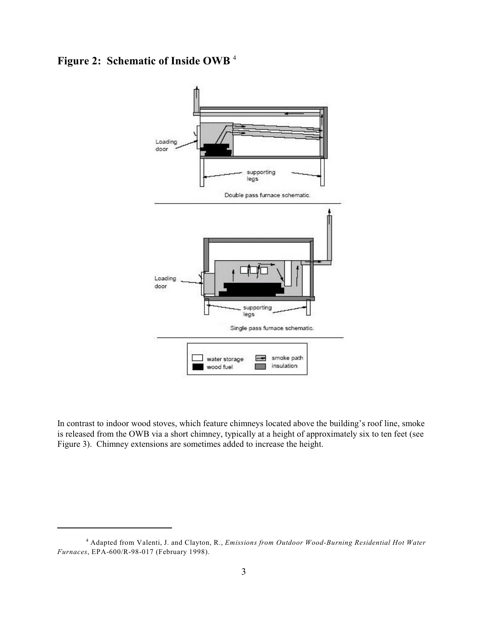**Figure 2: Schematic of Inside OWB** <sup>4</sup>



In contrast to indoor wood stoves, which feature chimneys located above the building's roof line, smoke is released from the OWB via a short chimney, typically at a height of approximately six to ten feet (see Figure 3). Chimney extensions are sometimes added to increase the height.

Adapted from Valenti, J. and Clayton, R., *Emissions from Outdoor Wood-Burning Residential Hot Water* <sup>4</sup> *Furnaces*, EPA-600/R-98-017 (February 1998).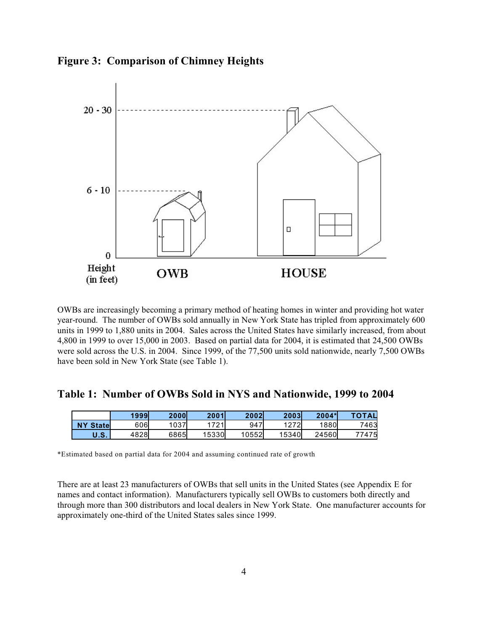**Figure 3: Comparison of Chimney Heights**



OWBs are increasingly becoming a primary method of heating homes in winter and providing hot water year-round. The number of OWBs sold annually in New York State has tripled from approximately 600 units in 1999 to 1,880 units in 2004. Sales across the United States have similarly increased, from about 4,800 in 1999 to over 15,000 in 2003. Based on partial data for 2004, it is estimated that 24,500 OWBs were sold across the U.S. in 2004. Since 1999, of the 77,500 units sold nationwide, nearly 7,500 OWBs have been sold in New York State (see Table 1).

**Table 1: Number of OWBs Sold in NYS and Nationwide, 1999 to 2004**

|                  | 1999 | <b>2000l</b> | 2001  | 2002  | 2003  | $2004*$ | <b>TOTAL</b> |
|------------------|------|--------------|-------|-------|-------|---------|--------------|
| <b>NY Statel</b> | 606  | 037          | 721   | 947   | 1272  | 1880    | 7463         |
| U.S.             | 4828 | 6865         | 15330 | 10552 | 15340 | 24560   | 77475        |

\*Estimated based on partial data for 2004 and assuming continued rate of growth

There are at least 23 manufacturers of OWBs that sell units in the United States (see Appendix E for names and contact information). Manufacturers typically sell OWBs to customers both directly and through more than 300 distributors and local dealers in New York State. One manufacturer accounts for approximately one-third of the United States sales since 1999.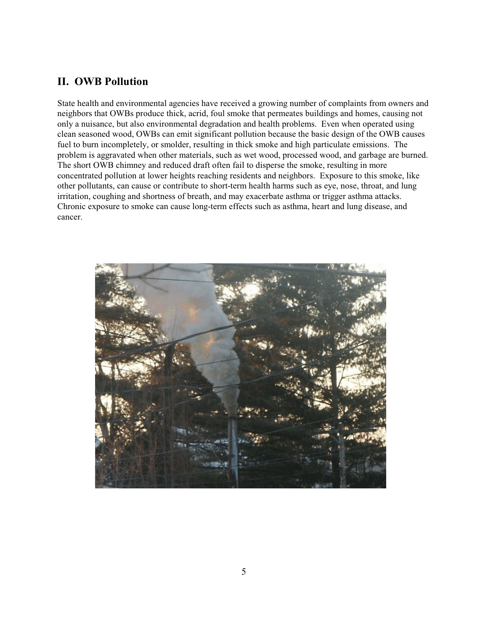## **II. OWB Pollution**

State health and environmental agencies have received a growing number of complaints from owners and neighbors that OWBs produce thick, acrid, foul smoke that permeates buildings and homes, causing not only a nuisance, but also environmental degradation and health problems. Even when operated using clean seasoned wood, OWBs can emit significant pollution because the basic design of the OWB causes fuel to burn incompletely, or smolder, resulting in thick smoke and high particulate emissions. The problem is aggravated when other materials, such as wet wood, processed wood, and garbage are burned. The short OWB chimney and reduced draft often fail to disperse the smoke, resulting in more concentrated pollution at lower heights reaching residents and neighbors. Exposure to this smoke, like other pollutants, can cause or contribute to short-term health harms such as eye, nose, throat, and lung irritation, coughing and shortness of breath, and may exacerbate asthma or trigger asthma attacks. Chronic exposure to smoke can cause long-term effects such as asthma, heart and lung disease, and cancer.

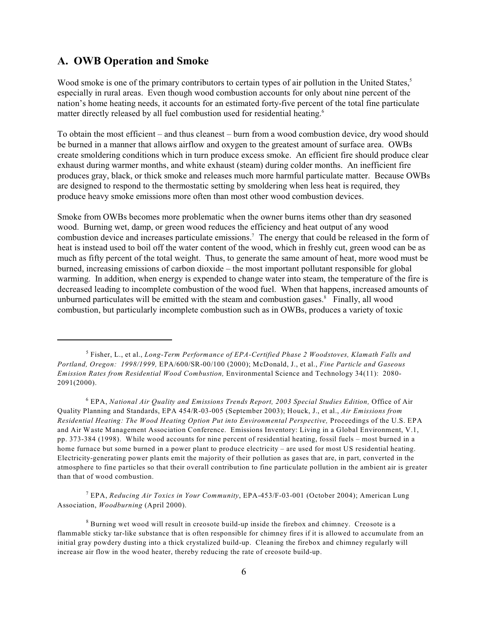#### **A. OWB Operation and Smoke**

Wood smoke is one of the primary contributors to certain types of air pollution in the United States,<sup>5</sup> especially in rural areas. Even though wood combustion accounts for only about nine percent of the nation's home heating needs, it accounts for an estimated forty-five percent of the total fine particulate matter directly released by all fuel combustion used for residential heating.<sup>6</sup>

To obtain the most efficient – and thus cleanest – burn from a wood combustion device, dry wood should be burned in a manner that allows airflow and oxygen to the greatest amount of surface area. OWBs create smoldering conditions which in turn produce excess smoke. An efficient fire should produce clear exhaust during warmer months, and white exhaust (steam) during colder months. An inefficient fire produces gray, black, or thick smoke and releases much more harmful particulate matter. Because OWBs are designed to respond to the thermostatic setting by smoldering when less heat is required, they produce heavy smoke emissions more often than most other wood combustion devices.

Smoke from OWBs becomes more problematic when the owner burns items other than dry seasoned wood. Burning wet, damp, or green wood reduces the efficiency and heat output of any wood combustion device and increases particulate emissions.<sup>7</sup> The energy that could be released in the form of heat is instead used to boil off the water content of the wood, which in freshly cut, green wood can be as much as fifty percent of the total weight. Thus, to generate the same amount of heat, more wood must be burned, increasing emissions of carbon dioxide – the most important pollutant responsible for global warming. In addition, when energy is expended to change water into steam, the temperature of the fire is decreased leading to incomplete combustion of the wood fuel. When that happens, increased amounts of unburned particulates will be emitted with the steam and combustion gases. $\delta$  Finally, all wood combustion, but particularly incomplete combustion such as in OWBs, produces a variety of toxic

<sup>6</sup> EPA, *National Air Quality and Emissions Trends Report, 2003 Special Studies Edition, Office of Air* Quality Planning and Standards, EPA 454/R-03-005 (September 2003); Houck, J., et al., *Air Emissions from Residential Heating: The Wood Heating Option Put into Environmental Perspective,* Proceedings of the U.S. EPA and Air Waste Management Association Conference. Emissions Inventory: Living in a Global Environment, V.1, pp. 373-384 (1998). While wood accounts for nine percent of residential heating, fossil fuels – most burned in a home furnace but some burned in a power plant to produce electricity – are used for most US residential heating. Electricity-generating power plants emit the majority of their pollution as gases that are, in part, converted in the atmosphere to fine particles so that their overall contribution to fine particulate pollution in the ambient air is greater than that of wood combustion.

 EPA, *Reducing Air Toxics in Your Community*, EPA-453/F-03-001 (October 2004); American Lung <sup>7</sup> Association, *Woodburning* (April 2000).

 $8$  Burning wet wood will result in creosote build-up inside the firebox and chimney. Creosote is a flammable sticky tar-like substance that is often responsible for chimney fires if it is allowed to accumulate from an initial gray powdery dusting into a thick crystalized build-up. Cleaning the firebox and chimney regularly will increase air flow in the wood heater, thereby reducing the rate of creosote build-up.

Fisher, L., et al., *Long-Term Performance of EPA-Certified Phase 2 Woodstoves, Klamath Falls and* <sup>5</sup> *Portland, Oregon: 1998/1999,* EPA/600/SR-00/100 (2000); McDonald, J., et al., *Fine Particle and Gaseous Emission Rates from Residential Wood Combustion,* Environmental Science and Technology 34(11): 2080- 2091(2000).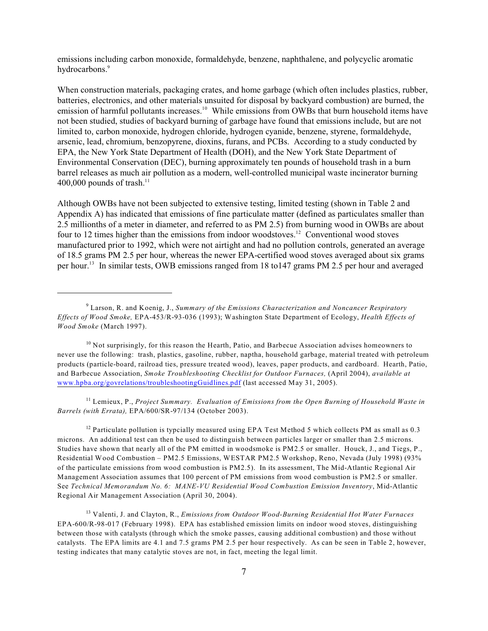emissions including carbon monoxide, formaldehyde, benzene, naphthalene, and polycyclic aromatic hydrocarbons.<sup>9</sup>

When construction materials, packaging crates, and home garbage (which often includes plastics, rubber, batteries, electronics, and other materials unsuited for disposal by backyard combustion) are burned, the emission of harmful pollutants increases.<sup>10</sup> While emissions from OWBs that burn household items have not been studied, studies of backyard burning of garbage have found that emissions include, but are not limited to, carbon monoxide, hydrogen chloride, hydrogen cyanide, benzene, styrene, formaldehyde, arsenic, lead, chromium, benzopyrene, dioxins, furans, and PCBs. According to a study conducted by EPA, the New York State Department of Health (DOH), and the New York State Department of Environmental Conservation (DEC), burning approximately ten pounds of household trash in a burn barrel releases as much air pollution as a modern, well-controlled municipal waste incinerator burning 400,000 pounds of trash. $11$ 

Although OWBs have not been subjected to extensive testing, limited testing (shown in Table 2 and Appendix A) has indicated that emissions of fine particulate matter (defined as particulates smaller than 2.5 millionths of a meter in diameter, and referred to as PM 2.5) from burning wood in OWBs are about four to 12 times higher than the emissions from indoor woodstoves.<sup>12</sup> Conventional wood stoves manufactured prior to 1992, which were not airtight and had no pollution controls, generated an average of 18.5 grams PM 2.5 per hour, whereas the newer EPA-certified wood stoves averaged about six grams per hour.<sup>13</sup> In similar tests, OWB emissions ranged from 18 to 147 grams PM 2.5 per hour and averaged

<sup>11</sup> Lemieux, P., *Project Summary. Evaluation of Emissions from the Open Burning of Household Waste in Barrels (with Errata),* EPA/600/SR-97/134 (October 2003).

 $12$  Particulate pollution is typcially measured using EPA Test Method 5 which collects PM as small as 0.3 microns. An additional test can then be used to distinguish between particles larger or smaller than 2.5 microns. Studies have shown that nearly all of the PM emitted in woodsmoke is PM2.5 or smaller. Houck, J., and Tiegs, P., Residential Wood Combustion – PM2.5 Emissions, WESTAR PM2.5 Workshop, Reno, Nevada (July 1998) (93% of the particulate emissions from wood combustion is PM2.5). In its assessment, The Mid-Atlantic Regional Air Management Association assumes that 100 percent of PM emissions from wood combustion is PM2.5 or smaller. See *Technical Memorandum No. 6: MANE-VU Residential Wood Combustion Emission Inventory*, Mid-Atlantic Regional Air Management Association (April 30, 2004).

 Valenti, J. and Clayton, R., *Emissions from Outdoor Wood-Burning Residential Hot Water Furnaces* <sup>13</sup> EPA-600/R-98-017 (February 1998). EPA has established emission limits on indoor wood stoves, distinguishing between those with catalysts (through which the smoke passes, causing additional combustion) and those without catalysts. The EPA limits are 4.1 and 7.5 grams PM 2.5 per hour respectively. As can be seen in Table 2, however, testing indicates that many catalytic stoves are not, in fact, meeting the legal limit.

Larson, R. and Koenig, J., *Summary of the Emissions Characterization and Noncancer Respiratory* <sup>9</sup> *Effects of Wood Smoke,* EPA-453/R-93-036 (1993); Washington State Department of Ecology, *Health Effects of Wood Smoke* (March 1997).

 $10$  Not surprisingly, for this reason the Hearth, Patio, and Barbecue Association advises homeowners to never use the following: trash, plastics, gasoline, rubber, naptha, household garbage, material treated with petroleum products (particle-board, railroad ties, pressure treated wood), leaves, paper products, and cardboard. Hearth, Patio, and Barbecue Association, *Smoke Troubleshooting Checklist for Outdoor Furnaces,* (April 2004), *available at*  [www.hpba.org/govrelations/troubleshootingGuidlines.pdf](http://www.hpba.org/govrelations/troubleshootingGuidlines.pdf) (last accessed May 31, 2005).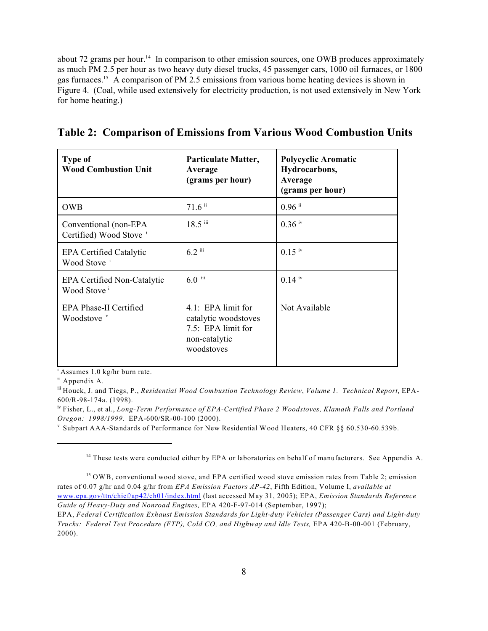about 72 grams per hour.<sup>14</sup> In comparison to other emission sources, one OWB produces approximately as much PM 2.5 per hour as two heavy duty diesel trucks, 45 passenger cars, 1000 oil furnaces, or 1800 gas furnaces.<sup>15</sup> A comparison of PM 2.5 emissions from various home heating devices is shown in Figure 4.(Coal, while used extensively for electricity production, is not used extensively in New York for home heating.)

|  |  |  | Table 2: Comparison of Emissions from Various Wood Combustion Units |  |  |  |
|--|--|--|---------------------------------------------------------------------|--|--|--|
|--|--|--|---------------------------------------------------------------------|--|--|--|

| <b>Type of</b><br><b>Wood Combustion Unit</b>                 | Particulate Matter,<br>Average<br>(grams per hour)                                              | <b>Polycyclic Aromatic</b><br>Hydrocarbons,<br>Average<br>(grams per hour) |
|---------------------------------------------------------------|-------------------------------------------------------------------------------------------------|----------------------------------------------------------------------------|
| <b>OWB</b>                                                    | $71.6$ ii                                                                                       | $0.96$ ii                                                                  |
| Conventional (non-EPA<br>Certified) Wood Stove i              | $18.5$ iii                                                                                      | $0.36$ iv                                                                  |
| <b>EPA Certified Catalytic</b><br>Wood Stove                  | $6.2$ iii                                                                                       | $0.15$ iv                                                                  |
| <b>EPA Certified Non-Catalytic</b><br>Wood Stove <sup>i</sup> | $6.0$ iii                                                                                       | $0.14$ iv                                                                  |
| EPA Phase-II Certified<br>Woodstove <sup>v</sup>              | 4.1: EPA limit for<br>catalytic woodstoves<br>7.5: EPA limit for<br>non-catalytic<br>woodstoves | Not Available                                                              |

 $A$ ssumes 1.0 kg/hr burn rate.

<sup>ii</sup> Appendix A.

 $\frac{1}{2}$  Houck, J. and Tiegs, P., *Residential Wood Combustion Technology Review*, *Volume 1. Technical Report*, EPA-600/R-98-174a. (1998).

<sup>iv</sup> Fisher, L., et al., *Long-Term Performance of EPA-Certified Phase 2 Woodstoves, Klamath Falls and Portland Oregon: 1998/1999.* EPA-600/SR-00-100 (2000).

 $\rm v$  Subpart AAA-Standards of Performance for New Residential Wood Heaters, 40 CFR §§ 60.530-60.539b.

<sup>14</sup> These tests were conducted either by EPA or laboratories on behalf of manufacturers. See Appendix A.

 $<sup>15</sup>$  OWB, conventional wood stove, and EPA certified wood stove emission rates from Table 2; emission</sup> rates of 0.07 g/hr and 0.04 g/hr from *EPA Emission Factors AP-42*, Fifth Edition, Volume I, *available at*  [www.epa.gov/ttn/chief/ap42/ch01/index.html](http://www.epa.gov/ttn/chief/ap42/ch01/index.html) (last accessed May 31, 2005); EPA, *Emission Standards Reference Guide of Heavy-Duty and Nonroad Engines,* EPA 420-F-97-014 (September, 1997);

EPA, *Federal Certification Exhaust Emission Standards for Light-duty Vehicles (Passenger Cars) and Light-duty Trucks: Federal Test Procedure (FTP), Cold CO, and Highway and Idle Tests,* EPA 420-B-00-001 (February, 2000).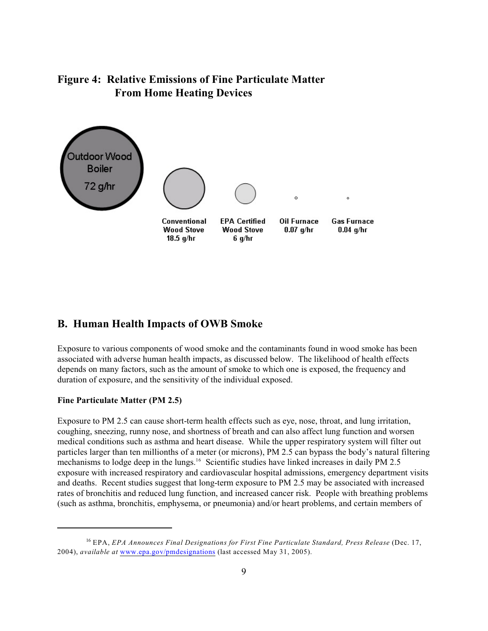# **Figure 4: Relative Emissions of Fine Particulate Matter From Home Heating Devices**



#### **B. Human Health Impacts of OWB Smoke**

Exposure to various components of wood smoke and the contaminants found in wood smoke has been associated with adverse human health impacts, as discussed below. The likelihood of health effects depends on many factors, such as the amount of smoke to which one is exposed, the frequency and duration of exposure, and the sensitivity of the individual exposed.

#### **Fine Particulate Matter (PM 2.5)**

Exposure to PM 2.5 can cause short-term health effects such as eye, nose, throat, and lung irritation, coughing, sneezing, runny nose, and shortness of breath and can also affect lung function and worsen medical conditions such as asthma and heart disease. While the upper respiratory system will filter out particles larger than ten millionths of a meter (or microns), PM 2.5 can bypass the body's natural filtering mechanisms to lodge deep in the lungs.<sup>16</sup> Scientific studies have linked increases in daily PM 2.5 exposure with increased respiratory and cardiovascular hospital admissions, emergency department visits and deaths. Recent studies suggest that long-term exposure to PM 2.5 may be associated with increased rates of bronchitis and reduced lung function, and increased cancer risk. People with breathing problems (such as asthma, bronchitis, emphysema, or pneumonia) and/or heart problems, and certain members of

EPA, *EPA Announces Final Designations for First Fine Particulate Standard, Press Release* (Dec. 17, <sup>16</sup> 2004), *available at* [www.epa.gov/pmdesignations](http://www.epa.gov/pmdesignations) (last accessed May 31, 2005).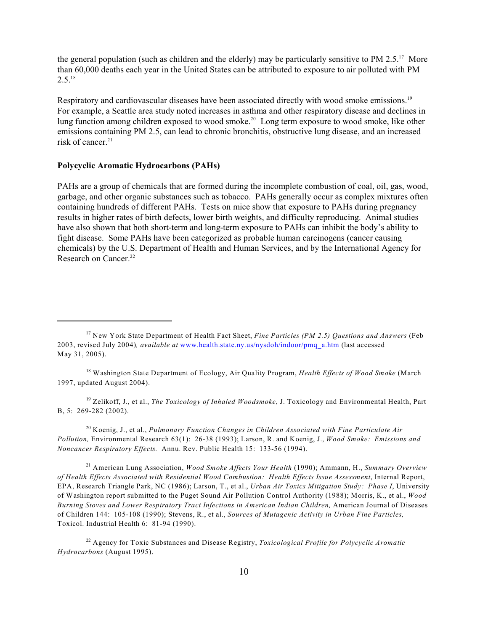the general population (such as children and the elderly) may be particularly sensitive to PM 2.5.<sup>17</sup> More than 60,000 deaths each year in the United States can be attributed to exposure to air polluted with PM  $2.5.^{18}$ 

Respiratory and cardiovascular diseases have been associated directly with wood smoke emissions.<sup>19</sup> For example, a Seattle area study noted increases in asthma and other respiratory disease and declines in lung function among children exposed to wood smoke.<sup>20</sup> Long term exposure to wood smoke, like other emissions containing PM 2.5, can lead to chronic bronchitis, obstructive lung disease, and an increased risk of cancer. 21

#### **Polycyclic Aromatic Hydrocarbons (PAHs)**

PAHs are a group of chemicals that are formed during the incomplete combustion of coal, oil, gas, wood, garbage, and other organic substances such as tobacco. PAHs generally occur as complex mixtures often containing hundreds of different PAHs. Tests on mice show that exposure to PAHs during pregnancy results in higher rates of birth defects, lower birth weights, and difficulty reproducing. Animal studies have also shown that both short-term and long-term exposure to PAHs can inhibit the body's ability to fight disease. Some PAHs have been categorized as probable human carcinogens (cancer causing chemicals) by the U.S. Department of Health and Human Services, and by the International Agency for Research on Cancer.<sup>22</sup>

<sup>18</sup> Washington State Department of Ecology, Air Quality Program, *Health Effects of Wood Smoke* (March 1997, updated August 2004).

<sup>19</sup> Zelikoff, J., et al., *The Toxicology of Inhaled Woodsmoke*, J. Toxicology and Environmental Health, Part B, 5: 269-282 (2002).

<sup>20</sup> Koenig, J., et al., *Pulmonary Function Changes in Children Associated with Fine Particulate Air Pollution,* Environmental Research 63(1): 26-38 (1993); Larson, R. and Koenig, J., *Wood Smoke: Emissions and Noncancer Respiratory Effects.* Annu. Rev. Public Health 15: 133-56 (1994).

 American Lung Association, *Wood Smoke Affects Your Health* (1990); Ammann, H., *Summary Overview* <sup>21</sup> *of Health Effects Associated with Residential Wood Combustion: Health Effects Issue Assessment*, Internal Report, EPA, Research Triangle Park, NC (1986); Larson, T., et al., *Urban Air Toxics Mitigation Study: Phase I*, University of Washington report submitted to the Puget Sound Air Pollution Control Authority (1988); Morris, K., et al., *Wood Burning Stoves and Lower Respiratory Tract Infections in American Indian Children,* American Journal of Diseases of Children 144: 105-108 (1990); Stevens, R., et al., *Sources of Mutagenic Activity in Urban Fine Particles,* Toxicol. Industrial Health 6: 81-94 (1990).

<sup>22</sup> Agency for Toxic Substances and Disease Registry, *Toxicological Profile for Polycyclic Aromatic Hydrocarbons* (August 1995).

<sup>&</sup>lt;sup>17</sup> New York State Department of Health Fact Sheet, *Fine Particles (PM 2.5) Questions and Answers* (Feb 2003, revised July 2004)*, available at* [www.health.state.ny.us/nysdoh/indoor/pmq\\_a.htm](Http://www.health.state.ny.us/nysdoh/indoor/pmq_a.htm) (last accessed May 31, 2005).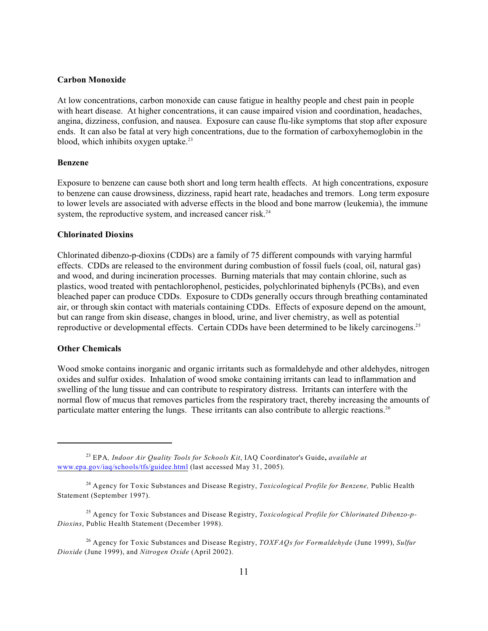#### **Carbon Monoxide**

At low concentrations, carbon monoxide can cause fatigue in healthy people and chest pain in people with heart disease. At higher concentrations, it can cause impaired vision and coordination, headaches, angina, dizziness, confusion, and nausea. Exposure can cause flu-like symptoms that stop after exposure ends. It can also be fatal at very high concentrations, due to the formation of carboxyhemoglobin in the blood, which inhibits oxygen uptake. $23$ 

#### **Benzene**

Exposure to benzene can cause both short and long term health effects. At high concentrations, exposure to benzene can cause drowsiness, dizziness, rapid heart rate, headaches and tremors. Long term exposure to lower levels are associated with adverse effects in the blood and bone marrow (leukemia), the immune system, the reproductive system, and increased cancer risk.<sup>24</sup>

#### **Chlorinated Dioxins**

Chlorinated dibenzo-p-dioxins (CDDs) are a family of 75 different compounds with varying harmful effects. CDDs are released to the environment during combustion of fossil fuels (coal, oil, natural gas) and wood, and during incineration processes. Burning materials that may contain chlorine, such as plastics, wood treated with pentachlorophenol, pesticides, polychlorinated biphenyls (PCBs), and even bleached paper can produce CDDs. Exposure to CDDs generally occurs through breathing contaminated air, or through skin contact with materials containing CDDs. Effects of exposure depend on the amount, but can range from skin disease, changes in blood, urine, and liver chemistry, as well as potential reproductive or developmental effects. Certain CDDs have been determined to be likely carcinogens.<sup>25</sup>

#### **Other Chemicals**

Wood smoke contains inorganic and organic irritants such as formaldehyde and other aldehydes, nitrogen oxides and sulfur oxides. Inhalation of wood smoke containing irritants can lead to inflammation and swelling of the lung tissue and can contribute to respiratory distress. Irritants can interfere with the normal flow of mucus that removes particles from the respiratory tract, thereby increasing the amounts of particulate matter entering the lungs. These irritants can also contribute to allergic reactions.<sup>26</sup>

EPA*, Indoor Air Quality Tools for Schools Kit*, IAQ Coordinator's Guide**,** *available at* <sup>23</sup> [www.epa.gov/iaq/schools/tfs/guidee.html](http://www.epa.gov/iaq/schools/tfs/guidee.html) (last accessed May 31, 2005).

Agency for Toxic Substances and Disease Registry, *Toxicological Profile for Benzene,* Public Health <sup>24</sup> Statement (September 1997).

<sup>&</sup>lt;sup>25</sup> Agency for Toxic Substances and Disease Registry, *Toxicological Profile for Chlorinated Dibenzo-p-Dioxins*, Public Health Statement (December 1998).

Agency for Toxic Substances and Disease Registry, *TOXFAQs for Formaldehyde* (June 1999), *Sulfur* <sup>26</sup> *Dioxide* (June 1999), and *Nitrogen Oxide* (April 2002).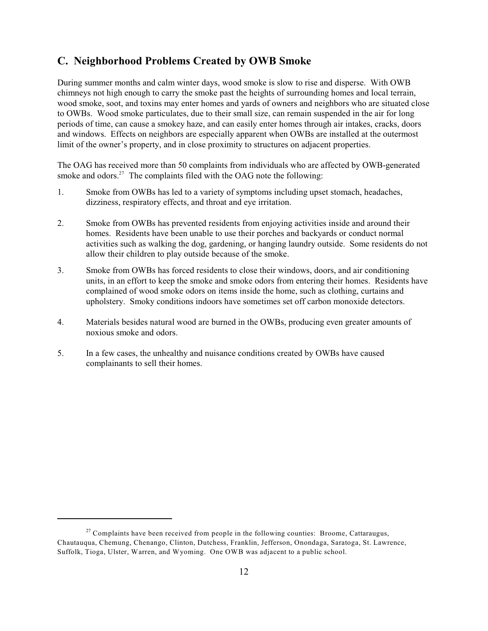## **C. Neighborhood Problems Created by OWB Smoke**

During summer months and calm winter days, wood smoke is slow to rise and disperse. With OWB chimneys not high enough to carry the smoke past the heights of surrounding homes and local terrain, wood smoke, soot, and toxins may enter homes and yards of owners and neighbors who are situated close to OWBs. Wood smoke particulates, due to their small size, can remain suspended in the air for long periods of time, can cause a smokey haze, and can easily enter homes through air intakes, cracks, doors and windows. Effects on neighbors are especially apparent when OWBs are installed at the outermost limit of the owner's property, and in close proximity to structures on adjacent properties.

The OAG has received more than 50 complaints from individuals who are affected by OWB-generated smoke and odors. $27$  The complaints filed with the OAG note the following:

- 1. Smoke from OWBs has led to a variety of symptoms including upset stomach, headaches, dizziness, respiratory effects, and throat and eye irritation.
- 2. Smoke from OWBs has prevented residents from enjoying activities inside and around their homes. Residents have been unable to use their porches and backyards or conduct normal activities such as walking the dog, gardening, or hanging laundry outside. Some residents do not allow their children to play outside because of the smoke.
- 3. Smoke from OWBs has forced residents to close their windows, doors, and air conditioning units, in an effort to keep the smoke and smoke odors from entering their homes. Residents have complained of wood smoke odors on items inside the home, such as clothing, curtains and upholstery. Smoky conditions indoors have sometimes set off carbon monoxide detectors.
- 4. Materials besides natural wood are burned in the OWBs, producing even greater amounts of noxious smoke and odors.
- 5. In a few cases, the unhealthy and nuisance conditions created by OWBs have caused complainants to sell their homes.

 $27$  Complaints have been received from people in the following counties: Broome, Cattaraugus, Chautauqua, Chemung, Chenango, Clinton, Dutchess, Franklin, Jefferson, Onondaga, Saratoga, St. Lawrence, Suffolk, Tioga, Ulster, Warren, and Wyoming. One OWB was adjacent to a public school.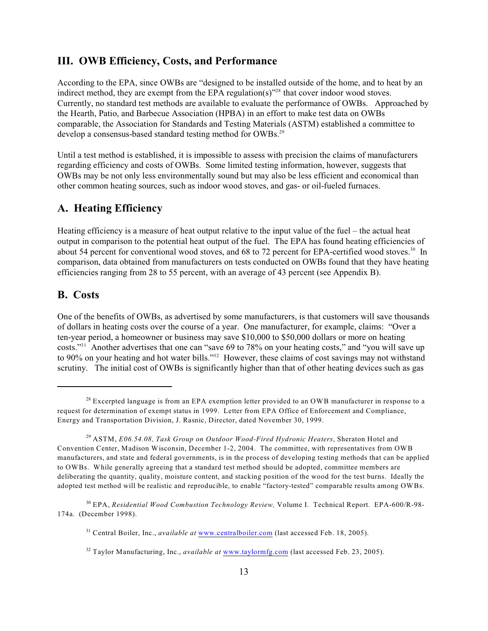#### **III. OWB Efficiency, Costs, and Performance**

According to the EPA, since OWBs are "designed to be installed outside of the home, and to heat by an indirect method, they are exempt from the EPA regulation(s) $^{328}$  that cover indoor wood stoves. Currently, no standard test methods are available to evaluate the performance of OWBs. Approached by the Hearth, Patio, and Barbecue Association (HPBA) in an effort to make test data on OWBs comparable, the Association for Standards and Testing Materials (ASTM) established a committee to develop a consensus-based standard testing method for OWBs.<sup>29</sup>

Until a test method is established, it is impossible to assess with precision the claims of manufacturers regarding efficiency and costs of OWBs. Some limited testing information, however, suggests that OWBs may be not only less environmentally sound but may also be less efficient and economical than other common heating sources, such as indoor wood stoves, and gas- or oil-fueled furnaces.

#### **A. Heating Efficiency**

Heating efficiency is a measure of heat output relative to the input value of the fuel – the actual heat output in comparison to the potential heat output of the fuel. The EPA has found heating efficiencies of about 54 percent for conventional wood stoves, and 68 to 72 percent for EPA-certified wood stoves.<sup>30</sup> In comparison, data obtained from manufacturers on tests conducted on OWBs found that they have heating efficiencies ranging from 28 to 55 percent, with an average of 43 percent (see Appendix B).

## **B. Costs**

One of the benefits of OWBs, as advertised by some manufacturers, is that customers will save thousands of dollars in heating costs over the course of a year. One manufacturer, for example, claims: "Over a ten-year period, a homeowner or business may save \$10,000 to \$50,000 dollars or more on heating costs."<sup>31</sup> Another advertises that one can "save 69 to 78% on your heating costs," and "you will save up to 90% on your heating and hot water bills."<sup>32</sup> However, these claims of cost savings may not withstand scrutiny. The initial cost of OWBs is significantly higher than that of other heating devices such as gas

 $28$  Excerpted language is from an EPA exemption letter provided to an OWB manufacturer in response to a request for determination of exempt status in 1999. Letter from EPA Office of Enforcement and Compliance, Energy and Transportation Division, J. Rasnic, Director, dated November 30, 1999.

<sup>&</sup>lt;sup>29</sup> ASTM, *E06.54.08, Task Group on Outdoor Wood-Fired Hydronic Heaters*, Sheraton Hotel and Convention Center, Madison Wisconsin, December 1-2, 2004. The committee, with representatives from OWB manufacturers, and state and federal governments, is in the process of developing testing methods that can be applied to OWBs. While generally agreeing that a standard test method should be adopted, committee members are deliberating the quantity, quality, moisture content, and stacking position of the wood for the test burns. Ideally the adopted test method will be realistic and reproducible, to enable "factory-tested" comparable results among OWBs.

<sup>&</sup>lt;sup>30</sup> EPA, *Residential Wood Combustion Technology Review*, Volume I. Technical Report. EPA-600/R-98-174a. (December 1998).

<sup>&</sup>lt;sup>31</sup> Central Boiler, Inc., *available at* [www.centralboiler.com](http://www.centralboiler.com) (last accessed Feb. 18, 2005).

<sup>&</sup>lt;sup>32</sup> Taylor Manufacturing, Inc., *available at* [www.taylormfg.com](http://www.taylormfg.com) (last accessed Feb. 23, 2005).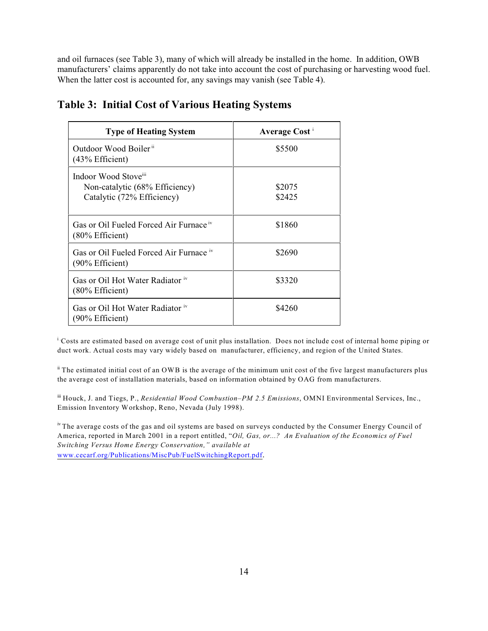and oil furnaces (see Table 3), many of which will already be installed in the home. In addition, OWB manufacturers' claims apparently do not take into account the cost of purchasing or harvesting wood fuel. When the latter cost is accounted for, any savings may vanish (see Table 4).

| <b>Type of Heating System</b>                                                      | Average Cost <sup>i</sup> |
|------------------------------------------------------------------------------------|---------------------------|
| Outdoor Wood Boiler <sup>ii</sup><br>(43% Efficient)                               | \$5500                    |
| Indoor Wood Stove"<br>Non-catalytic (68% Efficiency)<br>Catalytic (72% Efficiency) | \$2075<br>\$2425          |
| Gas or Oil Fueled Forced Air Furnace iv<br>$(80\%$ Efficient)                      | \$1860                    |
| Gas or Oil Fueled Forced Air Furnace iv<br>(90% Efficient)                         | \$2690                    |
| Gas or Oil Hot Water Radiator iv<br>(80% Efficient)                                | \$3320                    |
| Gas or Oil Hot Water Radiator iv<br>(90% Efficient)                                | \$4260                    |

# **Table 3: Initial Cost of Various Heating Systems**

<sup>1</sup> Costs are estimated based on average cost of unit plus installation. Does not include cost of internal home piping or duct work. Actual costs may vary widely based on manufacturer, efficiency, and region of the United States.

 $\textsuperscript{i}$  The estimated initial cost of an OWB is the average of the minimum unit cost of the five largest manufacturers plus the average cost of installation materials, based on information obtained by OAG from manufacturers.

iii Houck, J. and Tiegs, P., *Residential Wood Combustion–PM 2.5 Emissions*, OMNI Environmental Services, Inc., Emission Inventory Workshop, Reno, Nevada (July 1998).

<sup>iv</sup> The average costs of the gas and oil systems are based on surveys conducted by the Consumer Energy Council of America, reported in March 2001 in a report entitled, "*Oil, Gas, or...? An Evaluation of the Economics of Fuel Switching Versus Home Energy Conservation," available at* [www.cecarf.org/Publications/MiscPub/FuelSwitchingReport.pdf](http://www.cecarf.org/Publications/MiscPub/FuelSwitchingReport.pdf).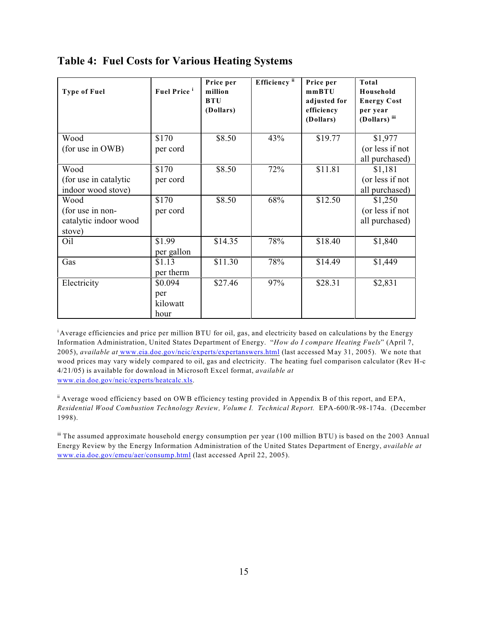| <b>Type of Fuel</b>                         | <b>Fuel Price</b> <sup>i</sup> | Price per<br>million<br><b>BTU</b><br>(Dollars) | Efficiency <sup>ii</sup> | Price per<br>mmBTU<br>adjusted for<br>efficiency<br>(Dollars) | Total<br>Household<br><b>Energy Cost</b><br>per year<br>(Dollars) iii |
|---------------------------------------------|--------------------------------|-------------------------------------------------|--------------------------|---------------------------------------------------------------|-----------------------------------------------------------------------|
| Wood                                        | \$170                          | \$8.50                                          | 43%                      | \$19.77                                                       | \$1,977                                                               |
| (for use in OWB)                            | per cord                       |                                                 |                          |                                                               | (or less if not<br>all purchased)                                     |
| Wood                                        | \$170                          | \$8.50                                          | 72%                      | \$11.81                                                       | \$1,181                                                               |
| (for use in catalytic<br>indoor wood stove) | per cord                       |                                                 |                          |                                                               | (or less if not<br>all purchased)                                     |
| Wood                                        | \$170                          | \$8.50                                          | 68%                      | \$12.50                                                       | \$1,250                                                               |
| (for use in non-                            | per cord                       |                                                 |                          |                                                               | (or less if not                                                       |
| catalytic indoor wood<br>stove)             |                                |                                                 |                          |                                                               | all purchased)                                                        |
| Oil                                         | \$1.99<br>per gallon           | \$14.35                                         | 78%                      | \$18.40                                                       | \$1,840                                                               |
| Gas                                         | \$1.13                         | \$11.30                                         | 78%                      | \$14.49                                                       | \$1,449                                                               |
|                                             | per therm                      |                                                 |                          |                                                               |                                                                       |
| Electricity                                 | \$0.094                        | \$27.46                                         | 97%                      | \$28.31                                                       | \$2,831                                                               |
|                                             | per<br>kilowatt                |                                                 |                          |                                                               |                                                                       |
|                                             | hour                           |                                                 |                          |                                                               |                                                                       |

# **Table 4: Fuel Costs for Various Heating Systems**

<sup>i</sup> Average efficiencies and price per million BTU for oil, gas, and electricity based on calculations by the Energy Information Administration, United States Department of Energy. "*How do I compare Heating Fuels*" (April 7, 2005), *available at* [www.eia.doe.gov/neic/experts/expertanswers.html](http://www.eia.doe.gov/neic/experts/expertanswers.html) (last accessed May 31, 2005). We note that wood prices may vary widely compared to oil, gas and electricity. The heating fuel comparison calculator (Rev H-c 4/21/05) is available for download in Microsoft Excel format, *available at* [www.eia.doe.gov/neic/experts/heatcalc.xls](http://www.eia.doe.gov/neic/experts/heatcalc.xls).

 $\mathbf{F}$  Average wood efficiency based on OWB efficiency testing provided in Appendix B of this report, and EPA, *Residential Wood Combustion Technology Review, Volume I. Technical Report.* EPA-600/R-98-174a. (December 1998).

iii The assumed approximate household energy consumption per year (100 million BTU) is based on the 2003 Annual Energy Review by the Energy Information Administration of the United States Department of Energy, *available at* [www.eia.doe.gov/emeu/aer/consump.html](http://www.eia.doe.gov/emeu/aer/consump.html) (last accessed April 22, 2005).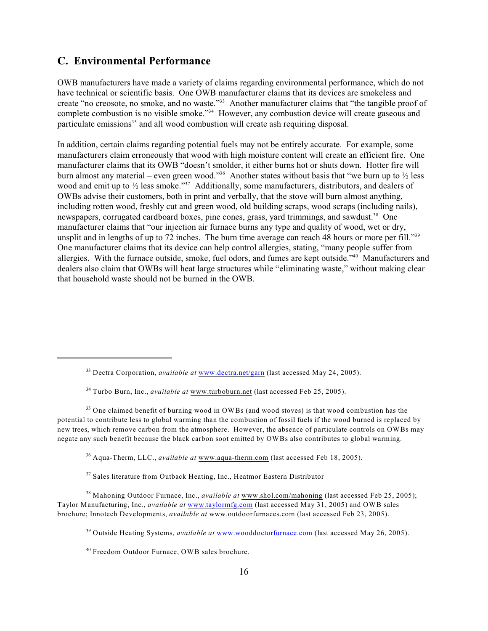## **C. Environmental Performance**

OWB manufacturers have made a variety of claims regarding environmental performance, which do not have technical or scientific basis. One OWB manufacturer claims that its devices are smokeless and create "no creosote, no smoke, and no waste."<sup>33</sup> Another manufacturer claims that "the tangible proof of complete combustion is no visible smoke."<sup>34</sup> However, any combustion device will create gaseous and particulate emissions $3<sup>5</sup>$  and all wood combustion will create ash requiring disposal.

In addition, certain claims regarding potential fuels may not be entirely accurate. For example, some manufacturers claim erroneously that wood with high moisture content will create an efficient fire. One manufacturer claims that its OWB "doesn't smolder, it either burns hot or shuts down. Hotter fire will burn almost any material – even green wood."<sup>36</sup> Another states without basis that "we burn up to  $\frac{1}{2}$  less wood and emit up to  $\frac{1}{2}$  less smoke."<sup>37</sup> Additionally, some manufacturers, distributors, and dealers of OWBs advise their customers, both in print and verbally, that the stove will burn almost anything, including rotten wood, freshly cut and green wood, old building scraps, wood scraps (including nails), newspapers, corrugated cardboard boxes, pine cones, grass, yard trimmings, and sawdust.<sup>38</sup> One manufacturer claims that "our injection air furnace burns any type and quality of wood, wet or dry, unsplit and in lengths of up to 72 inches. The burn time average can reach 48 hours or more per fill."<sup>39</sup> One manufacturer claims that its device can help control allergies, stating, "many people suffer from allergies. With the furnace outside, smoke, fuel odors, and fumes are kept outside."<sup>40</sup> Manufacturers and dealers also claim that OWBs will heat large structures while "eliminating waste," without making clear that household waste should not be burned in the OWB.

 $35$  One claimed benefit of burning wood in OWBs (and wood stoves) is that wood combustion has the potential to contribute less to global warming than the combustion of fossil fuels if the wood burned is replaced by new trees, which remove carbon from the atmosphere. However, the absence of particulate controls on OWBs may negate any such benefit because the black carbon soot emitted by OWBs also contributes to global warming.

<sup>36</sup> Aqua-Therm, LLC., *available at* [www.aqua-therm.com](http://www.aqua-therm.com) (last accessed Feb 18, 2005).

 $37$  Sales literature from Outback Heating, Inc., Heatmor Eastern Distributor

<sup>38</sup> Mahoning Outdoor Furnace, Inc., *available at* [www.shol.com/mahoning](http://www.shol.com/mahoning) (last accessed Feb 25, 2005); Taylor Manufacturing, Inc., *available at* [www.taylormfg.com](http://www.taylormfg.com) (last accessed May 31, 2005) and OWB sales brochure; Innotech Developments, *available at* [www.outdoorfurnaces.com](http://www.outdoorfurnaces.com) (last accessed Feb 23, 2005).

<sup>39</sup> Outside Heating Systems, *available at* [www.wooddoctorfurnace.com](http://www.wooddoctorfurnace.com) (last accessed May 26, 2005).

<sup>40</sup> Freedom Outdoor Furnace, OWB sales brochure.

<sup>&</sup>lt;sup>33</sup> Dectra Corporation, *available at* [www.dectra.net/garn](http://www.dectra.net/garn) (last accessed May 24, 2005).

 $34$  Turbo Burn, Inc., *available at* [www.turboburn.net](http://www.turboburn.net) (last accessed Feb 25, 2005).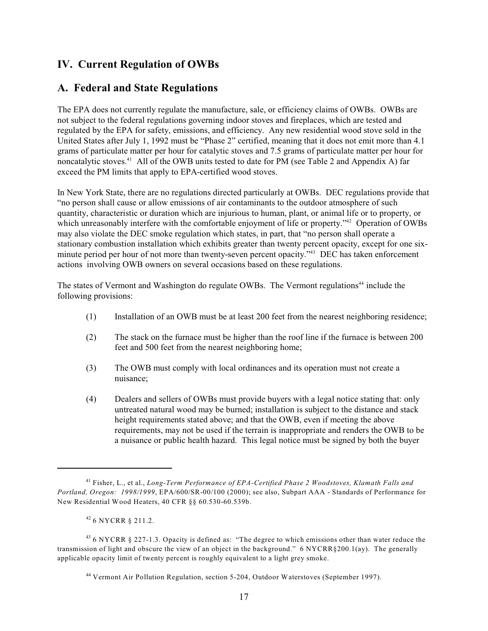# **IV. Current Regulation of OWBs**

## **A. Federal and State Regulations**

The EPA does not currently regulate the manufacture, sale, or efficiency claims of OWBs. OWBs are not subject to the federal regulations governing indoor stoves and fireplaces, which are tested and regulated by the EPA for safety, emissions, and efficiency. Any new residential wood stove sold in the United States after July 1, 1992 must be "Phase 2" certified, meaning that it does not emit more than 4.1 grams of particulate matter per hour for catalytic stoves and 7.5 grams of particulate matter per hour for noncatalytic stoves.<sup>41</sup> All of the OWB units tested to date for PM (see Table 2 and Appendix A) far exceed the PM limits that apply to EPA-certified wood stoves.

In New York State, there are no regulations directed particularly at OWBs. DEC regulations provide that "no person shall cause or allow emissions of air contaminants to the outdoor atmosphere of such quantity, characteristic or duration which are injurious to human, plant, or animal life or to property, or which unreasonably interfere with the comfortable enjoyment of life or property."<sup>42</sup> Operation of OWBs may also violate the DEC smoke regulation which states, in part, that "no person shall operate a stationary combustion installation which exhibits greater than twenty percent opacity, except for one sixminute period per hour of not more than twenty-seven percent opacity."<sup>43</sup> DEC has taken enforcement actions involving OWB owners on several occasions based on these regulations.

The states of Vermont and Washington do regulate OWBs. The Vermont regulations<sup>44</sup> include the following provisions:

- (1) Installation of an OWB must be at least 200 feet from the nearest neighboring residence;
- (2) The stack on the furnace must be higher than the roof line if the furnace is between 200 feet and 500 feet from the nearest neighboring home;
- (3) The OWB must comply with local ordinances and its operation must not create a nuisance;
- (4) Dealers and sellers of OWBs must provide buyers with a legal notice stating that: only untreated natural wood may be burned; installation is subject to the distance and stack height requirements stated above; and that the OWB, even if meeting the above requirements, may not be used if the terrain is inappropriate and renders the OWB to be a nuisance or public health hazard. This legal notice must be signed by both the buyer

Fisher, L., et al., *Long-Term Performance of EPA-Certified Phase 2 Woodstoves, Klamath Falls and* <sup>41</sup> *Portland, Oregon: 1998/1999*, EPA/600/SR-00/100 (2000); see also, Subpart AAA - Standards of Performance for New Residential Wood Heaters, 40 CFR §§ 60.530-60.539b.

 $426$  NYCRR  $8$  211.2.

 $436$  NYCRR § 227-1.3. Opacity is defined as: "The degree to which emissions other than water reduce the transmission of light and obscure the view of an object in the background." 6 NYCRR§200.1(ay). The generally applicable opacity limit of twenty percent is roughly equivalent to a light grey smoke.

<sup>&</sup>lt;sup>44</sup> Vermont Air Pollution Regulation, section 5-204, Outdoor Waterstoves (September 1997).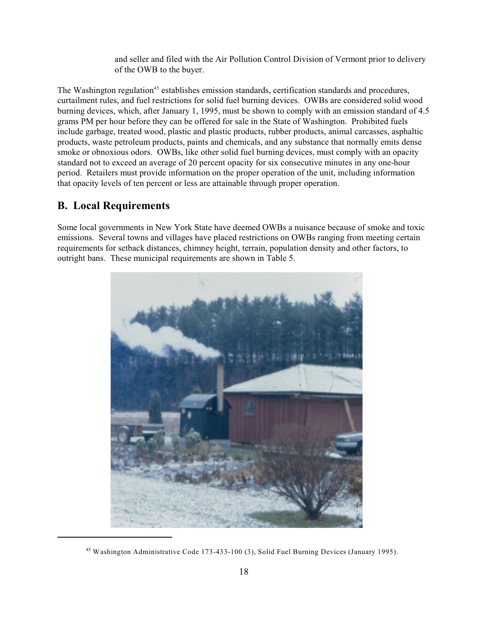and seller and filed with the Air Pollution Control Division of Vermont prior to delivery of the OWB to the buyer.

The Washington regulation<sup>45</sup> establishes emission standards, certification standards and procedures, curtailment rules, and fuel restrictions for solid fuel burning devices. OWBs are considered solid wood burning devices, which, after January 1, 1995, must be shown to comply with an emission standard of 4.5 grams PM per hour before they can be offered for sale in the State of Washington. Prohibited fuels include garbage, treated wood, plastic and plastic products, rubber products, animal carcasses, asphaltic products, waste petroleum products, paints and chemicals, and any substance that normally emits dense smoke or obnoxious odors. OWBs, like other solid fuel burning devices, must comply with an opacity standard not to exceed an average of 20 percent opacity for six consecutive minutes in any one-hour period. Retailers must provide information on the proper operation of the unit, including information that opacity levels of ten percent or less are attainable through proper operation.

#### **B. Local Requirements**

Some local governments in New York State have deemed OWBs a nuisance because of smoke and toxic emissions. Several towns and villages have placed restrictions on OWBs ranging from meeting certain requirements for setback distances, chimney height, terrain, population density and other factors, to outright bans. These municipal requirements are shown in Table 5.



<sup>&</sup>lt;sup>45</sup> Washington Administrative Code 173-433-100 (3), Solid Fuel Burning Devices (January 1995).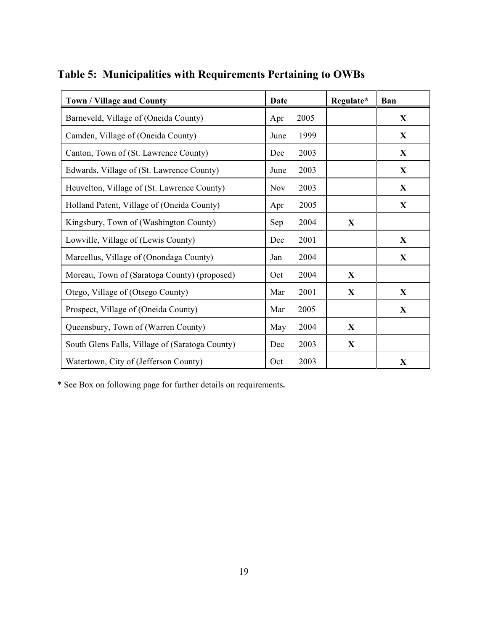| Town / Village and County                       | <b>Date</b>        | Regulate*    | Ban          |
|-------------------------------------------------|--------------------|--------------|--------------|
| Barneveld, Village of (Oneida County)           | 2005<br>Apr        |              | X            |
| Camden, Village of (Oneida County)              | 1999<br>June       |              | $\mathbf X$  |
| Canton, Town of (St. Lawrence County)           | 2003<br>Dec        |              | $\mathbf{X}$ |
| Edwards, Village of (St. Lawrence County)       | 2003<br>June       |              | $\mathbf X$  |
| Heuvelton, Village of (St. Lawrence County)     | 2003<br><b>Nov</b> |              | $\mathbf X$  |
| Holland Patent, Village of (Oneida County)      | 2005<br>Apr        |              | $\mathbf X$  |
| Kingsbury, Town of (Washington County)          | 2004<br>Sep        | X            |              |
| Lowville, Village of (Lewis County)             | 2001<br>Dec        |              | $\mathbf{X}$ |
| Marcellus, Village of (Onondaga County)         | 2004<br>Jan        |              | X            |
| Moreau, Town of (Saratoga County) (proposed)    | 2004<br>Oct        | $\mathbf X$  |              |
| Otego, Village of (Otsego County)               | Mar<br>2001        | $\mathbf{X}$ | $\mathbf{X}$ |
| Prospect, Village of (Oneida County)            | 2005<br>Mar        |              | X            |
| Queensbury, Town of (Warren County)             | 2004<br>May        | $\mathbf X$  |              |
| South Glens Falls, Village of (Saratoga County) | 2003<br>Dec        | $\mathbf{X}$ |              |
| Watertown, City of (Jefferson County)           | 2003<br>Oct        |              | $\mathbf X$  |

**Table 5: Municipalities with Requirements Pertaining to OWBs**

\* See Box on following page for further details on requirements**.**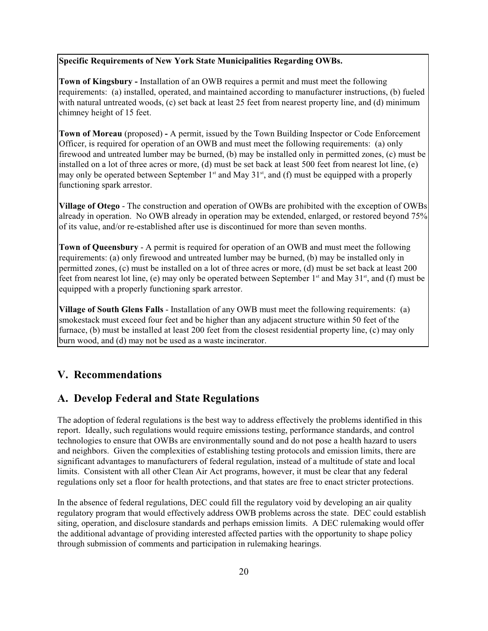#### **Specific Requirements of New York State Municipalities Regarding OWBs.**

**Town of Kingsbury -** Installation of an OWB requires a permit and must meet the following requirements: (a) installed, operated, and maintained according to manufacturer instructions, (b) fueled with natural untreated woods, (c) set back at least 25 feet from nearest property line, and (d) minimum chimney height of 15 feet.

**Town of Moreau** (proposed) **-** A permit, issued by the Town Building Inspector or Code Enforcement Officer, is required for operation of an OWB and must meet the following requirements: (a) only firewood and untreated lumber may be burned, (b) may be installed only in permitted zones, (c) must be installed on a lot of three acres or more, (d) must be set back at least 500 feet from nearest lot line, (e) may only be operated between September  $1<sup>st</sup>$  and May  $31<sup>st</sup>$ , and (f) must be equipped with a properly functioning spark arrestor.

**Village of Otego** - The construction and operation of OWBs are prohibited with the exception of OWBs already in operation. No OWB already in operation may be extended, enlarged, or restored beyond 75% of its value, and/or re-established after use is discontinued for more than seven months.

**Town of Queensbury** - A permit is required for operation of an OWB and must meet the following requirements: (a) only firewood and untreated lumber may be burned, (b) may be installed only in permitted zones, (c) must be installed on a lot of three acres or more, (d) must be set back at least 200 feet from nearest lot line, (e) may only be operated between September  $1<sup>st</sup>$  and May 31 $<sup>st</sup>$ , and (f) must be</sup> equipped with a properly functioning spark arrestor.

**Village of South Glens Falls** - Installation of any OWB must meet the following requirements: (a) smokestack must exceed four feet and be higher than any adjacent structure within 50 feet of the furnace, (b) must be installed at least 200 feet from the closest residential property line, (c) may only burn wood, and (d) may not be used as a waste incinerator.

#### **V. Recommendations**

## **A. Develop Federal and State Regulations**

The adoption of federal regulations is the best way to address effectively the problems identified in this report. Ideally, such regulations would require emissions testing, performance standards, and control technologies to ensure that OWBs are environmentally sound and do not pose a health hazard to users and neighbors. Given the complexities of establishing testing protocols and emission limits, there are significant advantages to manufacturers of federal regulation, instead of a multitude of state and local limits. Consistent with all other Clean Air Act programs, however, it must be clear that any federal regulations only set a floor for health protections, and that states are free to enact stricter protections.

In the absence of federal regulations, DEC could fill the regulatory void by developing an air quality regulatory program that would effectively address OWB problems across the state. DEC could establish siting, operation, and disclosure standards and perhaps emission limits. A DEC rulemaking would offer the additional advantage of providing interested affected parties with the opportunity to shape policy through submission of comments and participation in rulemaking hearings.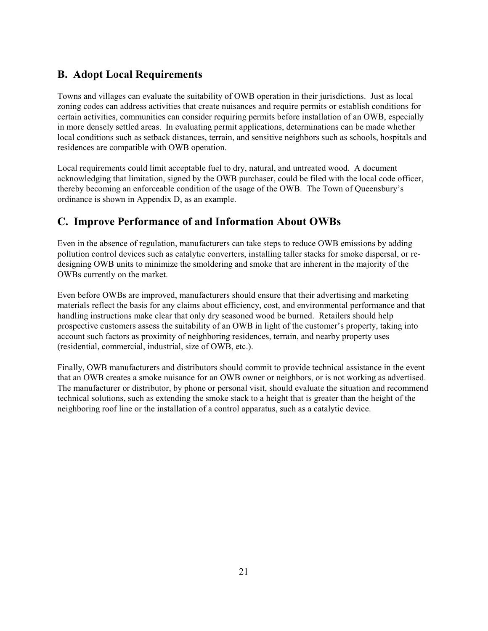# **B. Adopt Local Requirements**

Towns and villages can evaluate the suitability of OWB operation in their jurisdictions. Just as local zoning codes can address activities that create nuisances and require permits or establish conditions for certain activities, communities can consider requiring permits before installation of an OWB, especially in more densely settled areas. In evaluating permit applications, determinations can be made whether local conditions such as setback distances, terrain, and sensitive neighbors such as schools, hospitals and residences are compatible with OWB operation.

Local requirements could limit acceptable fuel to dry, natural, and untreated wood. A document acknowledging that limitation, signed by the OWB purchaser, could be filed with the local code officer, thereby becoming an enforceable condition of the usage of the OWB. The Town of Queensbury's ordinance is shown in Appendix D, as an example.

# **C. Improve Performance of and Information About OWBs**

Even in the absence of regulation, manufacturers can take steps to reduce OWB emissions by adding pollution control devices such as catalytic converters, installing taller stacks for smoke dispersal, or redesigning OWB units to minimize the smoldering and smoke that are inherent in the majority of the OWBs currently on the market.

Even before OWBs are improved, manufacturers should ensure that their advertising and marketing materials reflect the basis for any claims about efficiency, cost, and environmental performance and that handling instructions make clear that only dry seasoned wood be burned. Retailers should help prospective customers assess the suitability of an OWB in light of the customer's property, taking into account such factors as proximity of neighboring residences, terrain, and nearby property uses (residential, commercial, industrial, size of OWB, etc.).

Finally, OWB manufacturers and distributors should commit to provide technical assistance in the event that an OWB creates a smoke nuisance for an OWB owner or neighbors, or is not working as advertised. The manufacturer or distributor, by phone or personal visit, should evaluate the situation and recommend technical solutions, such as extending the smoke stack to a height that is greater than the height of the neighboring roof line or the installation of a control apparatus, such as a catalytic device.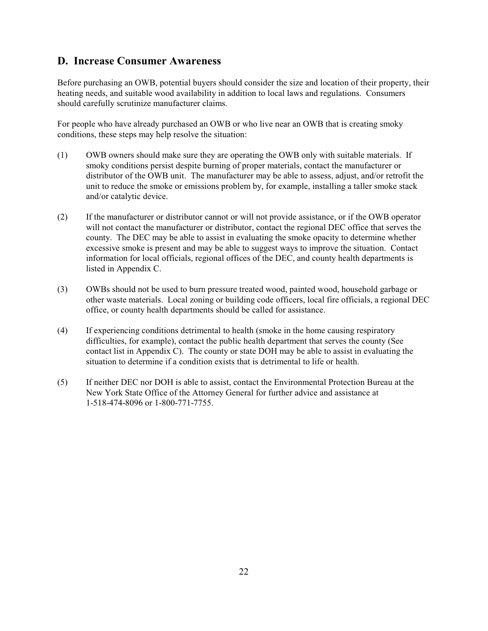# **D. Increase Consumer Awareness**

Before purchasing an OWB, potential buyers should consider the size and location of their property, their heating needs, and suitable wood availability in addition to local laws and regulations. Consumers should carefully scrutinize manufacturer claims.

For people who have already purchased an OWB or who live near an OWB that is creating smoky conditions, these steps may help resolve the situation:

- (1) OWB owners should make sure they are operating the OWB only with suitable materials. If smoky conditions persist despite burning of proper materials, contact the manufacturer or distributor of the OWB unit. The manufacturer may be able to assess, adjust, and/or retrofit the unit to reduce the smoke or emissions problem by, for example, installing a taller smoke stack and/or catalytic device.
- (2) If the manufacturer or distributor cannot or will not provide assistance, or if the OWB operator will not contact the manufacturer or distributor, contact the regional DEC office that serves the county. The DEC may be able to assist in evaluating the smoke opacity to determine whether excessive smoke is present and may be able to suggest ways to improve the situation. Contact information for local officials, regional offices of the DEC, and county health departments is listed in Appendix C.
- (3) OWBs should not be used to burn pressure treated wood, painted wood, household garbage or other waste materials. Local zoning or building code officers, local fire officials, a regional DEC office, or county health departments should be called for assistance.
- (4) If experiencing conditions detrimental to health (smoke in the home causing respiratory difficulties, for example), contact the public health department that serves the county (See contact list in Appendix C). The county or state DOH may be able to assist in evaluating the situation to determine if a condition exists that is detrimental to life or health.
- (5) If neither DEC nor DOH is able to assist, contact the Environmental Protection Bureau at the New York State Office of the Attorney General for further advice and assistance at 1-518-474-8096 or 1-800-771-7755.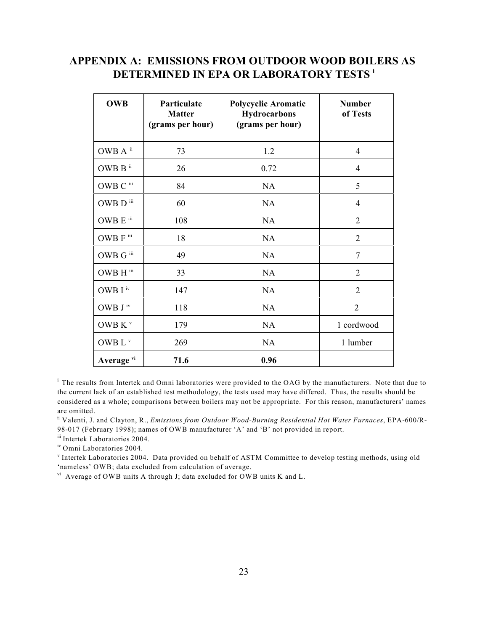# **APPENDIX A: EMISSIONS FROM OUTDOOR WOOD BOILERS AS DETERMINED IN EPA OR LABORATORY TESTS <sup>i</sup>**

| <b>OWB</b>               | Particulate<br><b>Matter</b><br>(grams per hour) | Polycyclic Aromatic<br>Hydrocarbons<br>(grams per hour) | <b>Number</b><br>of Tests |
|--------------------------|--------------------------------------------------|---------------------------------------------------------|---------------------------|
| OWB A ii                 | 73                                               | 1.2                                                     | 4                         |
| OWB B $^{\rm{ii}}$       | 26                                               | 0.72                                                    | $\overline{4}$            |
| OWB C iii                | 84                                               | <b>NA</b>                                               | 5                         |
| OWB $\mathbf{D}$ iii     | 60                                               | NA                                                      | $\overline{4}$            |
| OWB $E$ <sup>iii</sup>   | 108                                              | NA                                                      | $\overline{2}$            |
| OWB F iii                | 18                                               | <b>NA</b>                                               | $\overline{2}$            |
| $\rm OWB$ G $^{\rm iii}$ | 49                                               | NA                                                      | $\overline{7}$            |
| $\rm OWB~H$ $\rm^{iii}$  | 33                                               | NA                                                      | $\overline{2}$            |
| OWB I $^{\rm iv}$        | 147                                              | NA                                                      | $\overline{2}$            |
| OWB $\rm J$ iv           | 118                                              | <b>NA</b>                                               | $\overline{2}$            |
| OWB K <sup>v</sup>       | 179                                              | NA                                                      | 1 cordwood                |
| OWB L <sup>v</sup>       | 269                                              | NA                                                      | 1 lumber                  |
| Average vi               | 71.6                                             | 0.96                                                    |                           |

<sup>i</sup> The results from Intertek and Omni laboratories were provided to the OAG by the manufacturers. Note that due to the current lack of an established test methodology, the tests used may have differed. Thus, the results should be considered as a whole; comparisons between boilers may not be appropriate. For this reason, manufacturers' names are omitted.

<sup>ii</sup> Valenti, J. and Clayton, R., *Emissions from Outdoor Wood-Burning Residential Hot Water Furnaces*, EPA-600/R-98-017 (February 1998); names of OWB manufacturer 'A' and 'B' not provided in report.

iii Intertek Laboratories 2004.

<sup>iv</sup> Omni Laboratories 2004.

<sup>v</sup> Intertek Laboratories 2004. Data provided on behalf of ASTM Committee to develop testing methods, using old 'nameless' OWB; data excluded from calculation of average.

 $V^{\text{H}}$  Average of OWB units A through J; data excluded for OWB units K and L.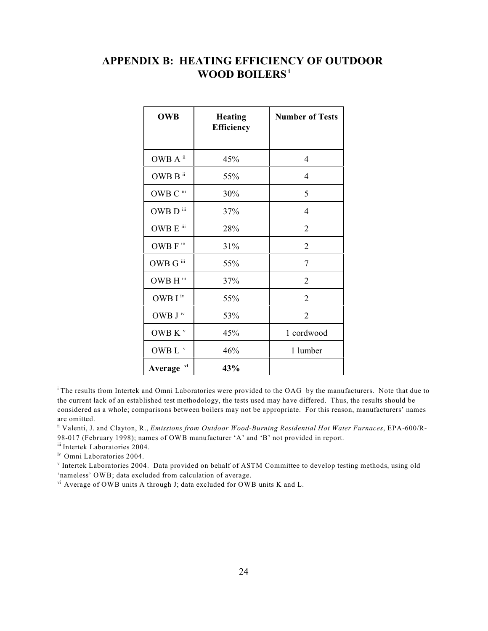# **APPENDIX B: HEATING EFFICIENCY OF OUTDOOR WOOD BOILERS<sup>i</sup>**

| <b>OWB</b>               | <b>Heating</b><br><b>Efficiency</b> | <b>Number of Tests</b> |
|--------------------------|-------------------------------------|------------------------|
|                          |                                     |                        |
| OWB A <sup>ii</sup>      | 45%                                 | $\overline{4}$         |
| OWB $B$ <sup>ii</sup>    | 55%                                 | $\overline{4}$         |
| OWB C iii                | 30%                                 | 5                      |
| OWB D iii                | 37%                                 | 4                      |
| $\bf OWB \to {}^{iii}$   | 28%                                 | $\overline{2}$         |
| OWB F iii                | 31%                                 | $\overline{2}$         |
| $\rm OWB$ G $^{\rm iii}$ | 55%                                 | 7                      |
| OWB H iii                | 37%                                 | $\overline{2}$         |
| OWB $\mathbf{I}$ iv      | 55%                                 | $\overline{2}$         |
| OWB $\mathrm{J}$ iv      | 53%                                 | $\overline{2}$         |
| OWB K $V$                | 45%                                 | 1 cordwood             |
| OWB L $^{\rm v}$         | 46%                                 | 1 lumber               |
| vi<br>Average            | 43%                                 |                        |

<sup>i</sup> The results from Intertek and Omni Laboratories were provided to the OAG by the manufacturers. Note that due to the current lack of an established test methodology, the tests used may have differed. Thus, the results should be considered as a whole; comparisons between boilers may not be appropriate. For this reason, manufacturers' names are omitted.

<sup>ii</sup> Valenti, J. and Clayton, R., *Emissions from Outdoor Wood-Burning Residential Hot Water Furnaces*, EPA-600/R-98-017 (February 1998); names of OWB manufacturer 'A' and 'B' not provided in report.

iii Intertek Laboratories 2004.

iv Omni Laboratories 2004.

<sup>v</sup> Intertek Laboratories 2004. Data provided on behalf of ASTM Committee to develop testing methods, using old 'nameless' OWB; data excluded from calculation of average.

 $v^i$  Average of OWB units A through J; data excluded for OWB units K and L.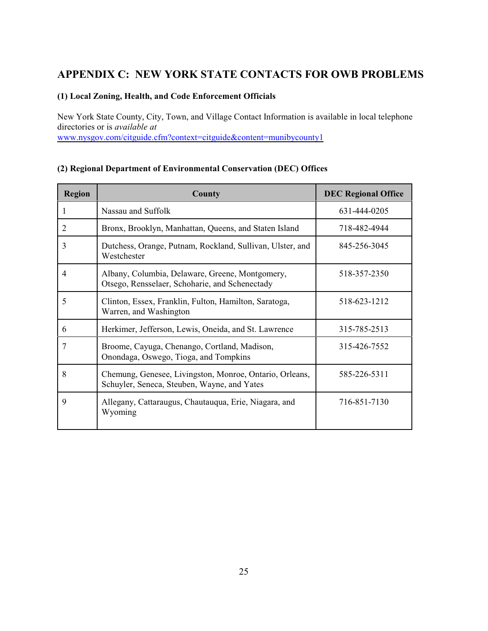# **APPENDIX C: NEW YORK STATE CONTACTS FOR OWB PROBLEMS**

#### **(1) Local Zoning, Health, and Code Enforcement Officials**

New York State County, City, Town, and Village Contact Information is available in local telephone directories or is *available at* [www.nysgov.com/citguide.cfm?context=citguide&content=munibycounty1](http://www.nysgov.com/citguide.cfm?context=citguide&content=munibycounty1)

#### **(2) Regional Department of Environmental Conservation (DEC) Offices**

| <b>Region</b> | County                                                                                                 | <b>DEC Regional Office</b> |
|---------------|--------------------------------------------------------------------------------------------------------|----------------------------|
| 1             | Nassau and Suffolk                                                                                     | 631-444-0205               |
| 2             | Bronx, Brooklyn, Manhattan, Queens, and Staten Island                                                  | 718-482-4944               |
| 3             | Dutchess, Orange, Putnam, Rockland, Sullivan, Ulster, and<br>Westchester                               | 845-256-3045               |
| 4             | Albany, Columbia, Delaware, Greene, Montgomery,<br>Otsego, Rensselaer, Schoharie, and Schenectady      | 518-357-2350               |
| 5             | Clinton, Essex, Franklin, Fulton, Hamilton, Saratoga,<br>Warren, and Washington                        | 518-623-1212               |
| 6             | Herkimer, Jefferson, Lewis, Oneida, and St. Lawrence                                                   | 315-785-2513               |
| 7             | Broome, Cayuga, Chenango, Cortland, Madison,<br>Onondaga, Oswego, Tioga, and Tompkins                  | 315-426-7552               |
| 8             | Chemung, Genesee, Livingston, Monroe, Ontario, Orleans,<br>Schuyler, Seneca, Steuben, Wayne, and Yates | 585-226-5311               |
| 9             | Allegany, Cattaraugus, Chautauqua, Erie, Niagara, and<br>Wyoming                                       | 716-851-7130               |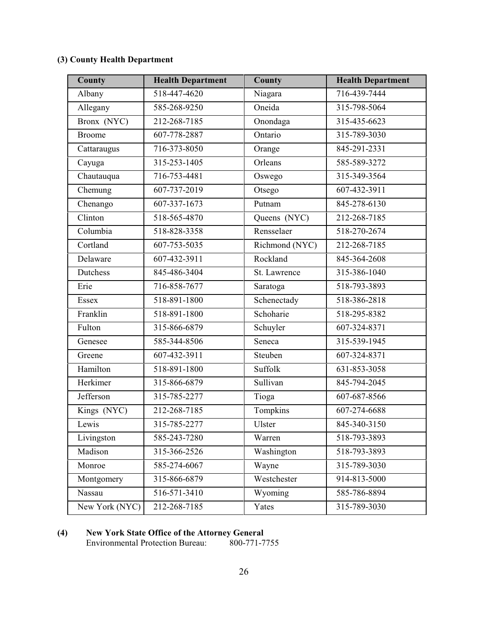# **(3) County Health Department**

| County         | <b>Health Department</b> | County         | <b>Health Department</b> |
|----------------|--------------------------|----------------|--------------------------|
| Albany         | 518-447-4620             | Niagara        | 716-439-7444             |
| Allegany       | 585-268-9250             | Oneida         | 315-798-5064             |
| Bronx (NYC)    | 212-268-7185             | Onondaga       | 315-435-6623             |
| <b>Broome</b>  | 607-778-2887             | Ontario        | 315-789-3030             |
| Cattaraugus    | 716-373-8050             | Orange         | 845-291-2331             |
| Cayuga         | 315-253-1405             | Orleans        | 585-589-3272             |
| Chautauqua     | 716-753-4481             | Oswego         | 315-349-3564             |
| Chemung        | 607-737-2019             | Otsego         | 607-432-3911             |
| Chenango       | 607-337-1673             | Putnam         | 845-278-6130             |
| Clinton        | 518-565-4870             | Queens (NYC)   | 212-268-7185             |
| Columbia       | 518-828-3358             | Rensselaer     | 518-270-2674             |
| Cortland       | 607-753-5035             | Richmond (NYC) | 212-268-7185             |
| Delaware       | 607-432-3911             | Rockland       | 845-364-2608             |
| Dutchess       | 845-486-3404             | St. Lawrence   | 315-386-1040             |
| Erie           | 716-858-7677             | Saratoga       | 518-793-3893             |
| Essex          | 518-891-1800             | Schenectady    | 518-386-2818             |
| Franklin       | 518-891-1800             | Schoharie      | 518-295-8382             |
| Fulton         | 315-866-6879             | Schuyler       | 607-324-8371             |
| Genesee        | 585-344-8506             | Seneca         | 315-539-1945             |
| Greene         | 607-432-3911             | Steuben        | 607-324-8371             |
| Hamilton       | 518-891-1800             | Suffolk        | 631-853-3058             |
| Herkimer       | 315-866-6879             | Sullivan       | 845-794-2045             |
| Jefferson      | 315-785-2277             | Tioga          | 607-687-8566             |
| Kings (NYC)    | 212-268-7185             | Tompkins       | 607-274-6688             |
| Lewis          | 315-785-2277             | Ulster         | 845-340-3150             |
| Livingston     | 585-243-7280             | Warren         | 518-793-3893             |
| Madison        | 315-366-2526             | Washington     | 518-793-3893             |
| Monroe         | 585-274-6067             | Wayne          | 315-789-3030             |
| Montgomery     | 315-866-6879             | Westchester    | 914-813-5000             |
| Nassau         | 516-571-3410             | Wyoming        | 585-786-8894             |
| New York (NYC) | 212-268-7185             | Yates          | 315-789-3030             |

#### **(4) New York State Office of the Attorney General**

Environmental Protection Bureau: 800-771-7755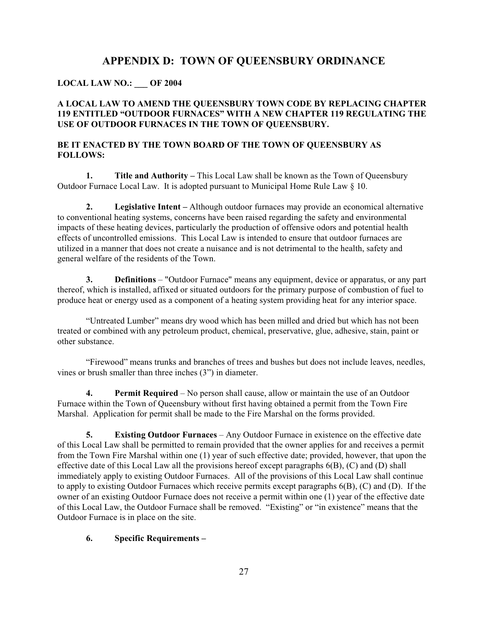## **APPENDIX D: TOWN OF QUEENSBURY ORDINANCE**

#### **LOCAL LAW NO.: \_\_\_ OF 2004**

#### **A LOCAL LAW TO AMEND THE QUEENSBURY TOWN CODE BY REPLACING CHAPTER 119 ENTITLED "OUTDOOR FURNACES" WITH A NEW CHAPTER 119 REGULATING THE USE OF OUTDOOR FURNACES IN THE TOWN OF QUEENSBURY.**

#### **BE IT ENACTED BY THE TOWN BOARD OF THE TOWN OF QUEENSBURY AS FOLLOWS:**

**1. Title and Authority –** This Local Law shall be known as the Town of Queensbury Outdoor Furnace Local Law. It is adopted pursuant to Municipal Home Rule Law  $\S$  10.

**2. Legislative Intent –** Although outdoor furnaces may provide an economical alternative to conventional heating systems, concerns have been raised regarding the safety and environmental impacts of these heating devices, particularly the production of offensive odors and potential health effects of uncontrolled emissions. This Local Law is intended to ensure that outdoor furnaces are utilized in a manner that does not create a nuisance and is not detrimental to the health, safety and general welfare of the residents of the Town.

**3. Definitions** – "Outdoor Furnace" means any equipment, device or apparatus, or any part thereof, which is installed, affixed or situated outdoors for the primary purpose of combustion of fuel to produce heat or energy used as a component of a heating system providing heat for any interior space.

"Untreated Lumber" means dry wood which has been milled and dried but which has not been treated or combined with any petroleum product, chemical, preservative, glue, adhesive, stain, paint or other substance.

"Firewood" means trunks and branches of trees and bushes but does not include leaves, needles, vines or brush smaller than three inches (3") in diameter.

**4. Permit Required** – No person shall cause, allow or maintain the use of an Outdoor Furnace within the Town of Queensbury without first having obtained a permit from the Town Fire Marshal. Application for permit shall be made to the Fire Marshal on the forms provided.

**5. Existing Outdoor Furnaces** – Any Outdoor Furnace in existence on the effective date of this Local Law shall be permitted to remain provided that the owner applies for and receives a permit from the Town Fire Marshal within one (1) year of such effective date; provided, however, that upon the effective date of this Local Law all the provisions hereof except paragraphs 6(B), (C) and (D) shall immediately apply to existing Outdoor Furnaces. All of the provisions of this Local Law shall continue to apply to existing Outdoor Furnaces which receive permits except paragraphs 6(B), (C) and (D). If the owner of an existing Outdoor Furnace does not receive a permit within one (1) year of the effective date of this Local Law, the Outdoor Furnace shall be removed. "Existing" or "in existence" means that the Outdoor Furnace is in place on the site.

#### **6. Specific Requirements –**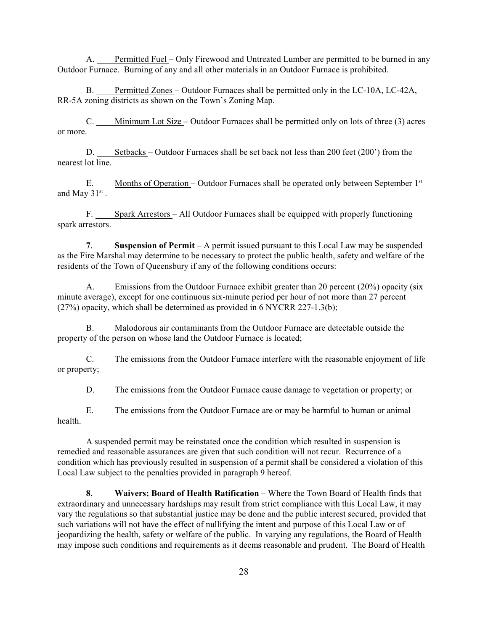A. Permitted Fuel – Only Firewood and Untreated Lumber are permitted to be burned in any Outdoor Furnace. Burning of any and all other materials in an Outdoor Furnace is prohibited.

B. Permitted Zones – Outdoor Furnaces shall be permitted only in the LC-10A, LC-42A, RR-5A zoning districts as shown on the Town's Zoning Map.

C. Minimum Lot Size – Outdoor Furnaces shall be permitted only on lots of three (3) acres or more.

D. Setbacks – Outdoor Furnaces shall be set back not less than 200 feet (200') from the nearest lot line.

E. Months of Operation – Outdoor Furnaces shall be operated only between September 1<sup>st</sup> and May  $31^{st}$ .

F. Spark Arrestors – All Outdoor Furnaces shall be equipped with properly functioning spark arrestors.

**7**. **Suspension of Permit** – A permit issued pursuant to this Local Law may be suspended as the Fire Marshal may determine to be necessary to protect the public health, safety and welfare of the residents of the Town of Queensbury if any of the following conditions occurs:

A. Emissions from the Outdoor Furnace exhibit greater than 20 percent (20%) opacity (six minute average), except for one continuous six-minute period per hour of not more than 27 percent  $(27%)$  opacity, which shall be determined as provided in 6 NYCRR 227-1.3(b);

B. Malodorous air contaminants from the Outdoor Furnace are detectable outside the property of the person on whose land the Outdoor Furnace is located;

C. The emissions from the Outdoor Furnace interfere with the reasonable enjoyment of life or property;

D. The emissions from the Outdoor Furnace cause damage to vegetation or property; or

E. The emissions from the Outdoor Furnace are or may be harmful to human or animal health.

A suspended permit may be reinstated once the condition which resulted in suspension is remedied and reasonable assurances are given that such condition will not recur. Recurrence of a condition which has previously resulted in suspension of a permit shall be considered a violation of this Local Law subject to the penalties provided in paragraph 9 hereof.

**8. Waivers; Board of Health Ratification** – Where the Town Board of Health finds that extraordinary and unnecessary hardships may result from strict compliance with this Local Law, it may vary the regulations so that substantial justice may be done and the public interest secured, provided that such variations will not have the effect of nullifying the intent and purpose of this Local Law or of jeopardizing the health, safety or welfare of the public. In varying any regulations, the Board of Health may impose such conditions and requirements as it deems reasonable and prudent. The Board of Health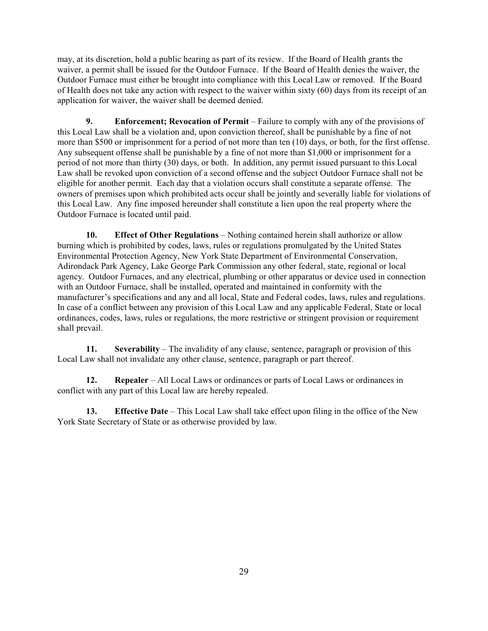may, at its discretion, hold a public hearing as part of its review. If the Board of Health grants the waiver, a permit shall be issued for the Outdoor Furnace. If the Board of Health denies the waiver, the Outdoor Furnace must either be brought into compliance with this Local Law or removed. If the Board of Health does not take any action with respect to the waiver within sixty (60) days from its receipt of an application for waiver, the waiver shall be deemed denied.

**9. Enforcement; Revocation of Permit** – Failure to comply with any of the provisions of this Local Law shall be a violation and, upon conviction thereof, shall be punishable by a fine of not more than \$500 or imprisonment for a period of not more than ten (10) days, or both, for the first offense. Any subsequent offense shall be punishable by a fine of not more than \$1,000 or imprisonment for a period of not more than thirty (30) days, or both. In addition, any permit issued pursuant to this Local Law shall be revoked upon conviction of a second offense and the subject Outdoor Furnace shall not be eligible for another permit. Each day that a violation occurs shall constitute a separate offense. The owners of premises upon which prohibited acts occur shall be jointly and severally liable for violations of this Local Law. Any fine imposed hereunder shall constitute a lien upon the real property where the Outdoor Furnace is located until paid.

**10. Effect of Other Regulations** – Nothing contained herein shall authorize or allow burning which is prohibited by codes, laws, rules or regulations promulgated by the United States Environmental Protection Agency, New York State Department of Environmental Conservation, Adirondack Park Agency, Lake George Park Commission any other federal, state, regional or local agency. Outdoor Furnaces, and any electrical, plumbing or other apparatus or device used in connection with an Outdoor Furnace, shall be installed, operated and maintained in conformity with the manufacturer's specifications and any and all local, State and Federal codes, laws, rules and regulations. In case of a conflict between any provision of this Local Law and any applicable Federal, State or local ordinances, codes, laws, rules or regulations, the more restrictive or stringent provision or requirement shall prevail.

**11. Severability** – The invalidity of any clause, sentence, paragraph or provision of this Local Law shall not invalidate any other clause, sentence, paragraph or part thereof.

**12. Repealer** – All Local Laws or ordinances or parts of Local Laws or ordinances in conflict with any part of this Local law are hereby repealed.

**13. Effective Date** – This Local Law shall take effect upon filing in the office of the New York State Secretary of State or as otherwise provided by law.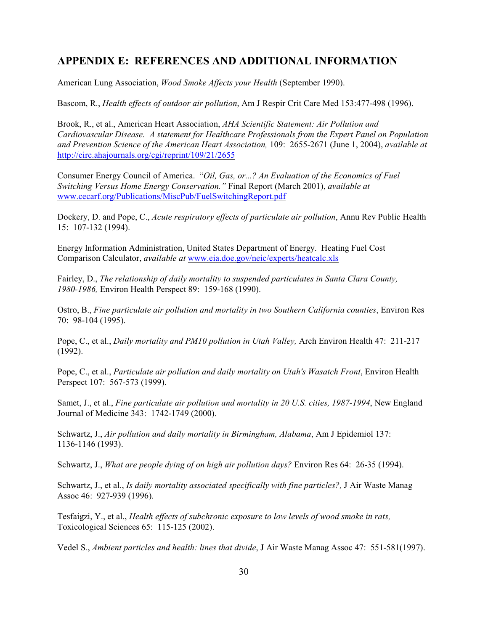## **APPENDIX E: REFERENCES AND ADDITIONAL INFORMATION**

American Lung Association, *Wood Smoke Affects your Health* (September 1990).

Bascom, R., *Health effects of outdoor air pollution*, Am J Respir Crit Care Med 153:477-498 (1996).

Brook, R., et al., American Heart Association, *AHA Scientific Statement: Air Pollution and Cardiovascular Disease. A statement for Healthcare Professionals from the Expert Panel on Population and Prevention Science of the American Heart Association,* 109: 2655-2671 (June 1, 2004), *available at* <http://circ.ahajournals.org/cgi/reprint/109/21/2655>

Consumer Energy Council of America. "*Oil, Gas, or...? An Evaluation of the Economics of Fuel Switching Versus Home Energy Conservation."* Final Report (March 2001), *available at* [www.cecarf.org/Publications/MiscPub/FuelSwitchingReport.pdf](http://www.cecarf.org/Publications/MiscPub/FuelSwitchingReport.pdf)

Dockery, D. and Pope, C., *Acute respiratory effects of particulate air pollution*, Annu Rev Public Health 15: 107-132 (1994).

Energy Information Administration, United States Department of Energy. Heating Fuel Cost Comparison Calculator, *available at* [www.eia.doe.gov/neic/experts/heatcalc.xls](http://www.eia.doe.gov/neic/experts/heatcalc.xls)

Fairley, D., *The relationship of daily mortality to suspended particulates in Santa Clara County, 1980-1986,* Environ Health Perspect 89: 159-168 (1990).

Ostro, B., *Fine particulate air pollution and mortality in two Southern California counties*, Environ Res 70: 98-104 (1995).

Pope, C., et al., *Daily mortality and PM10 pollution in Utah Valley,* Arch Environ Health 47: 211-217 (1992).

Pope, C., et al., *Particulate air pollution and daily mortality on Utah's Wasatch Front*, Environ Health Perspect 107: 567-573 (1999).

Samet, J., et al., *Fine particulate air pollution and mortality in 20 U.S. cities, 1987-1994*, New England Journal of Medicine 343: 1742-1749 (2000).

Schwartz, J., *Air pollution and daily mortality in Birmingham, Alabama*, Am J Epidemiol 137: 1136-1146 (1993).

Schwartz, J., *What are people dying of on high air pollution days?* Environ Res 64: 26-35 (1994).

Schwartz, J., et al., *Is daily mortality associated specifically with fine particles?,* J Air Waste Manag Assoc 46: 927-939 (1996).

Tesfaigzi, Y., et al., *Health effects of subchronic exposure to low levels of wood smoke in rats,* Toxicological Sciences 65: 115-125 (2002).

Vedel S., *Ambient particles and health: lines that divide*, J Air Waste Manag Assoc 47: 551-581(1997).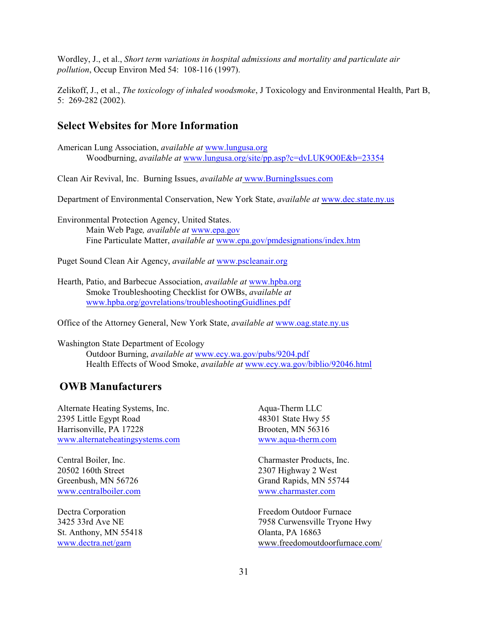Wordley, J., et al., *Short term variations in hospital admissions and mortality and particulate air pollution*, Occup Environ Med 54: 108-116 (1997).

Zelikoff, J., et al., *The toxicology of inhaled woodsmoke*, J Toxicology and Environmental Health, Part B, 5: 269-282 (2002).

#### **Select Websites for More Information**

American Lung Association, *available at* [www.lungusa.org](http://www.lungusa.org) Woodburning, *available at* [www.lungusa.org/site/pp.asp?c=dvLUK9O0E&b=23354](http://www.lungusa.org/site/pp.asp?c=dvLUK9O0E&b=23354)

Clean Air Revival, Inc. Burning Issues, *available at* [www.BurningIssues.com](http://www.BurningIssues.com)

Department of Environmental Conservation, New York State, *available at* [www.dec.state.ny.us](http://www.dec.state.ny.us)

Environmental Protection Agency, United States. Main Web Page*, available at* [www.epa.gov](http://www.epa.gov) Fine Particulate Matter, *available at* [www.epa.gov/pmdesignations/index.htm](http://www.epa.gov/pmdesignations/index.htm)

Puget Sound Clean Air Agency, *available at* [www.pscleanair.org](http://www.pscleanair.org)

Hearth, Patio, and Barbecue Association, *available at* [www.hpba.org](http://<http://www.hpba.org) Smoke Troubleshooting Checklist for OWBs, *available at* [www.hpba.org/govrelations/troubleshootingGuidlines.pdf](http://www.hpba.org/govrelations/troubleshootingGuidlines.pdf)

Office of the Attorney General, New York State, *available at* [www.oag.state.ny.us](http://www.oag.state.ny.us)

Washington State Department of Ecology Outdoor Burning, *available at* [www.ecy.wa.gov/pubs/9204.pdf](http://www.ecy.wa.gov/pubs/9204.pdf) Health Effects of Wood Smoke, *available at* [www.ecy.wa.gov/biblio/92046.html](http://www.ecy.wa.gov/biblio/92046.html)

## **OWB Manufacturers**

Alternate Heating Systems, Inc. 2395 Little Egypt Road Harrisonville, PA 17228 [www.alternateheatingsystems.com](http://www.alternateheatingsystems.com)

Central Boiler, Inc. 20502 160th Street Greenbush, MN 56726 [www.centralboiler.com](http://www.centralboiler.com)

Dectra Corporation 3425 33rd Ave NE St. Anthony, MN 55418 [www.dectra.net/garn](http://www.dectra.net/garn)

Aqua-Therm LLC 48301 State Hwy 55 Brooten, MN 56316 [www.aqua-therm.com](http://www.aqua-therm.com)

Charmaster Products, Inc. 2307 Highway 2 West Grand Rapids, MN 55744 [www.charmaster.com](http://www.charmaster.com)

Freedom Outdoor Furnace 7958 Curwensville Tryone Hwy Olanta, PA 16863 [www.freedomoutdoorfurnace.com/](http://www.freedomoutdoorfurnace.com/)